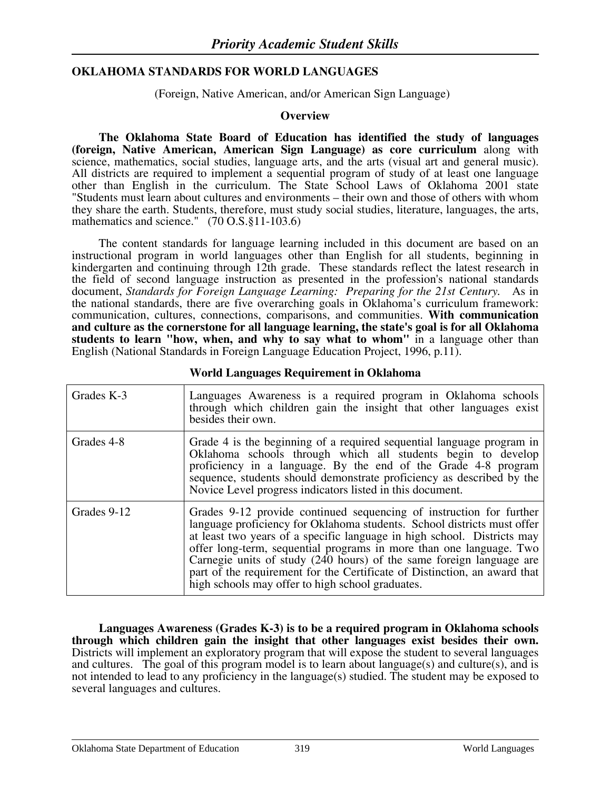### **OKLAHOMA STANDARDS FOR WORLD LANGUAGES**

(Foreign, Native American, and/or American Sign Language)

### **Overview**

**The Oklahoma State Board of Education has identified the study of languages (foreign, Native American, American Sign Language) as core curriculum** along with science, mathematics, social studies, language arts, and the arts (visual art and general music). All districts are required to implement a sequential program of study of at least one language other than English in the curriculum. The State School Laws of Oklahoma 2001 state "Students must learn about cultures and environments – their own and those of others with whom they share the earth. Students, therefore, must study social studies, literature, languages, the arts, mathematics and science." (70 O.S.§11-103.6)

 The content standards for language learning included in this document are based on an instructional program in world languages other than English for all students, beginning in kindergarten and continuing through 12th grade. These standards reflect the latest research in the field of second language instruction as presented in the profession's national standards document, *Standards for Foreign Language Learning: Preparing for the 21st Century.* As in the national standards, there are five overarching goals in Oklahoma's curriculum framework: communication, cultures, connections, comparisons, and communities. **With communication and culture as the cornerstone for all language learning, the state's goal is for all Oklahoma students to learn "how, when, and why to say what to whom"** in a language other than English (National Standards in Foreign Language Education Project, 1996, p.11).

| Grades K-3  | Languages Awareness is a required program in Oklahoma schools<br>through which children gain the insight that other languages exist<br>besides their own.                                                                                                                                                                                                                                                                                                                                                 |
|-------------|-----------------------------------------------------------------------------------------------------------------------------------------------------------------------------------------------------------------------------------------------------------------------------------------------------------------------------------------------------------------------------------------------------------------------------------------------------------------------------------------------------------|
| Grades 4-8  | Grade 4 is the beginning of a required sequential language program in<br>Oklahoma schools through which all students begin to develop<br>proficiency in a language. By the end of the Grade 4-8 program<br>sequence, students should demonstrate proficiency as described by the<br>Novice Level progress indicators listed in this document.                                                                                                                                                             |
| Grades 9-12 | Grades 9-12 provide continued sequencing of instruction for further<br>language proficiency for Oklahoma students. School districts must offer<br>at least two years of a specific language in high school. Districts may<br>offer long-term, sequential programs in more than one language. Two<br>Carnegie units of study (240 hours) of the same foreign language are<br>part of the requirement for the Certificate of Distinction, an award that<br>high schools may offer to high school graduates. |

#### **World Languages Requirement in Oklahoma**

**Languages Awareness (Grades K-3) is to be a required program in Oklahoma schools through which children gain the insight that other languages exist besides their own.**  Districts will implement an exploratory program that will expose the student to several languages and cultures. The goal of this program model is to learn about language(s) and culture(s), and is not intended to lead to any proficiency in the language(s) studied. The student may be exposed to several languages and cultures.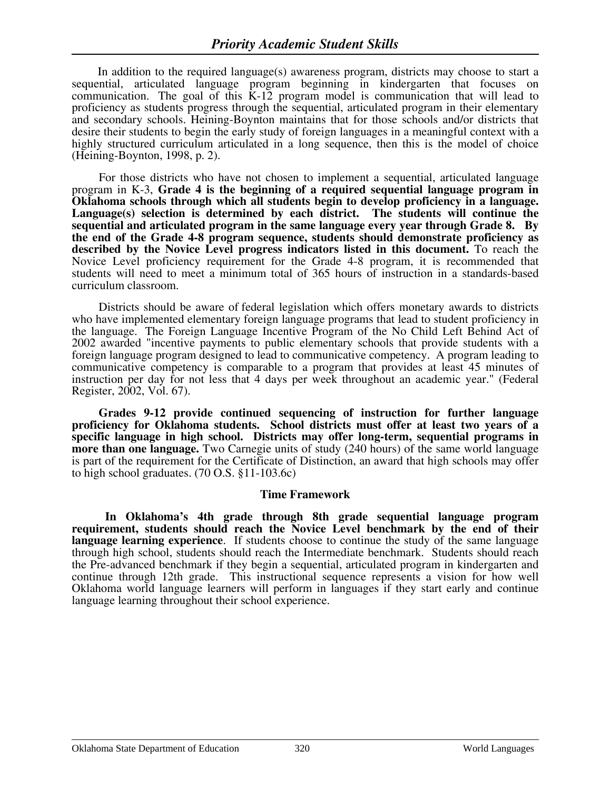In addition to the required language(s) awareness program, districts may choose to start a sequential, articulated language program beginning in kindergarten that focuses on communication. The goal of this K-12 program model is communication that will lead to proficiency as students progress through the sequential, articulated program in their elementary and secondary schools. Heining-Boynton maintains that for those schools and/or districts that desire their students to begin the early study of foreign languages in a meaningful context with a highly structured curriculum articulated in a long sequence, then this is the model of choice (Heining-Boynton, 1998, p. 2).

 For those districts who have not chosen to implement a sequential, articulated language program in K-3, **Grade 4 is the beginning of a required sequential language program in Oklahoma schools through which all students begin to develop proficiency in a language. Language(s) selection is determined by each district. The students will continue the sequential and articulated program in the same language every year through Grade 8. By the end of the Grade 4-8 program sequence, students should demonstrate proficiency as described by the Novice Level progress indicators listed in this document.** To reach the Novice Level proficiency requirement for the Grade 4-8 program, it is recommended that students will need to meet a minimum total of 365 hours of instruction in a standards-based curriculum classroom.

 Districts should be aware of federal legislation which offers monetary awards to districts who have implemented elementary foreign language programs that lead to student proficiency in the language. The Foreign Language Incentive Program of the No Child Left Behind Act of 2002 awarded "incentive payments to public elementary schools that provide students with a foreign language program designed to lead to communicative competency. A program leading to communicative competency is comparable to a program that provides at least 45 minutes of instruction per day for not less that 4 days per week throughout an academic year." (Federal Register, 2002, Vol. 67).

 **Grades 9-12 provide continued sequencing of instruction for further language proficiency for Oklahoma students. School districts must offer at least two years of a specific language in high school. Districts may offer long-term, sequential programs in more than one language.** Two Carnegie units of study (240 hours) of the same world language is part of the requirement for the Certificate of Distinction, an award that high schools may offer to high school graduates. (70 O.S. §11-103.6c)

### **Time Framework**

 **In Oklahoma's 4th grade through 8th grade sequential language program**  requirement, students should reach the Novice Level benchmark by the end of their **language learning experience**. If students choose to continue the study of the same language through high school, students should reach the Intermediate benchmark. Students should reach the Pre-advanced benchmark if they begin a sequential, articulated program in kindergarten and continue through 12th grade. This instructional sequence represents a vision for how well Oklahoma world language learners will perform in languages if they start early and continue language learning throughout their school experience.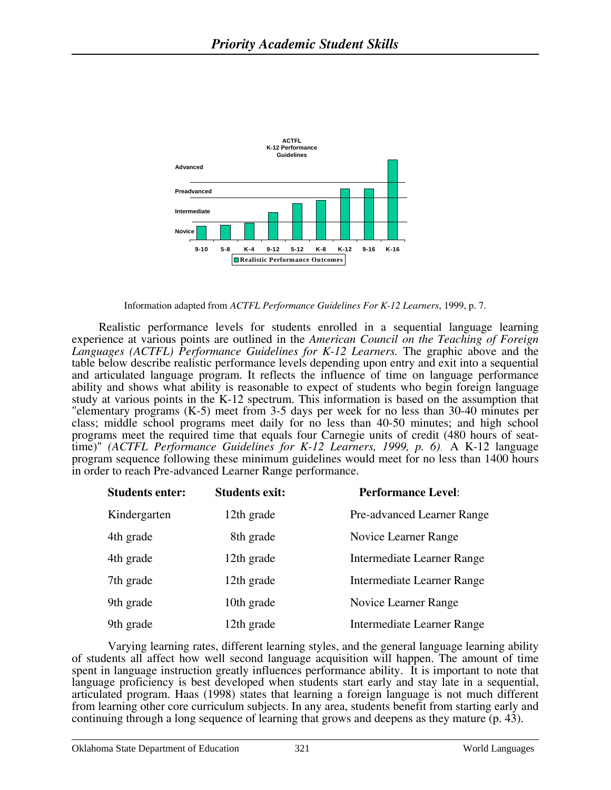

Information adapted from *ACTFL Performance Guidelines For K-12 Learners*, 1999, p. 7.

 Realistic performance levels for students enrolled in a sequential language learning experience at various points are outlined in the *American Council on the Teaching of Foreign Languages (ACTFL) Performance Guidelines for K-12 Learners.* The graphic above and the table below describe realistic performance levels depending upon entry and exit into a sequential and articulated language program. It reflects the influence of time on language performance ability and shows what ability is reasonable to expect of students who begin foreign language study at various points in the K-12 spectrum. This information is based on the assumption that "elementary programs (K-5) meet from 3-5 days per week for no less than 30-40 minutes per class; middle school programs meet daily for no less than 40-50 minutes; and high school programs meet the required time that equals four Carnegie units of credit (480 hours of seattime)" *(ACTFL Performance Guidelines for K-12 Learners, 1999, p. 6)*. A K-12 language program sequence following these minimum guidelines would meet for no less than 1400 hours in order to reach Pre-advanced Learner Range performance.

| <b>Students enter:</b> | <b>Students exit:</b> | <b>Performance Level:</b>         |
|------------------------|-----------------------|-----------------------------------|
| Kindergarten           | 12th grade            | Pre-advanced Learner Range        |
| 4th grade              | 8th grade             | Novice Learner Range              |
| 4th grade              | 12th grade            | Intermediate Learner Range        |
| 7th grade              | 12th grade            | <b>Intermediate Learner Range</b> |
| 9th grade              | 10th grade            | Novice Learner Range              |
| 9th grade              | 12th grade            | Intermediate Learner Range        |

Varying learning rates, different learning styles, and the general language learning ability of students all affect how well second language acquisition will happen. The amount of time spent in language instruction greatly influences performance ability. It is important to note that language proficiency is best developed when students start early and stay late in a sequential, articulated program. Haas (1998) states that learning a foreign language is not much different from learning other core curriculum subjects. In any area, students benefit from starting early and continuing through a long sequence of learning that grows and deepens as they mature (p. 43).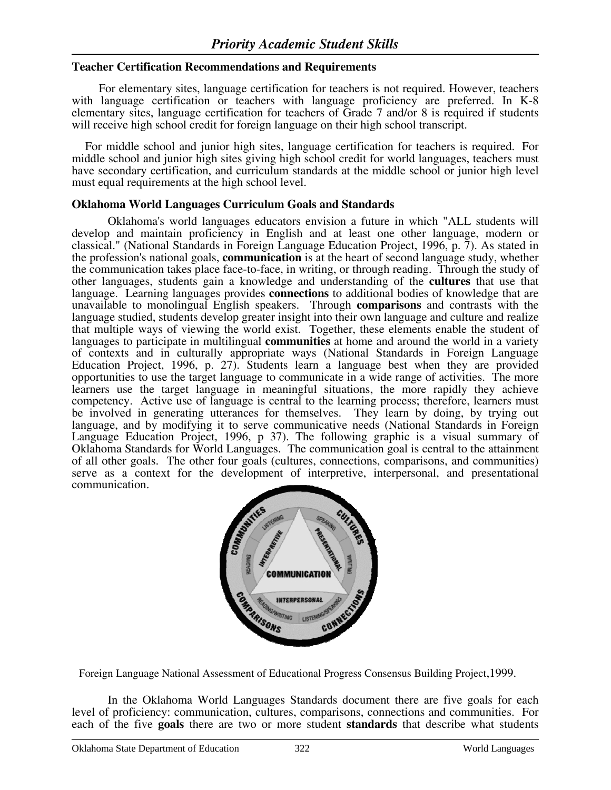### **Teacher Certification Recommendations and Requirements**

For elementary sites, language certification for teachers is not required. However, teachers with language certification or teachers with language proficiency are preferred. In K-8 elementary sites, language certification for teachers of Grade 7 and/or 8 is required if students will receive high school credit for foreign language on their high school transcript.

 For middle school and junior high sites, language certification for teachers is required. For middle school and junior high sites giving high school credit for world languages, teachers must have secondary certification, and curriculum standards at the middle school or junior high level must equal requirements at the high school level.

#### **Oklahoma World Languages Curriculum Goals and Standards**

Oklahoma's world languages educators envision a future in which "ALL students will develop and maintain proficiency in English and at least one other language, modern or classical." (National Standards in Foreign Language Education Project, 1996, p. 7). As stated in the profession's national goals, **communication** is at the heart of second language study, whether the communication takes place face-to-face, in writing, or through reading. Through the study of other languages, students gain a knowledge and understanding of the **cultures** that use that language. Learning languages provides **connections** to additional bodies of knowledge that are unavailable to monolingual English speakers. Through **comparisons** and contrasts with the language studied, students develop greater insight into their own language and culture and realize that multiple ways of viewing the world exist. Together, these elements enable the student of languages to participate in multilingual **communities** at home and around the world in a variety of contexts and in culturally appropriate ways (National Standards in Foreign Language Education Project, 1996, p. 27). Students learn a language best when they are provided opportunities to use the target language to communicate in a wide range of activities. The more learners use the target language in meaningful situations, the more rapidly they achieve competency. Active use of language is central to the learning process; therefore, learners must be involved in generating utterances for themselves. They learn by doing, by trying out language, and by modifying it to serve communicative needs (National Standards in Foreign Language Education Project, 1996, p 37). The following graphic is a visual summary of Oklahoma Standards for World Languages. The communication goal is central to the attainment of all other goals. The other four goals (cultures, connections, comparisons, and communities) serve as a context for the development of interpretive, interpersonal, and presentational communication.



Foreign Language National Assessment of Educational Progress Consensus Building Project,1999.

In the Oklahoma World Languages Standards document there are five goals for each level of proficiency: communication, cultures, comparisons, connections and communities. For each of the five **goals** there are two or more student **standards** that describe what students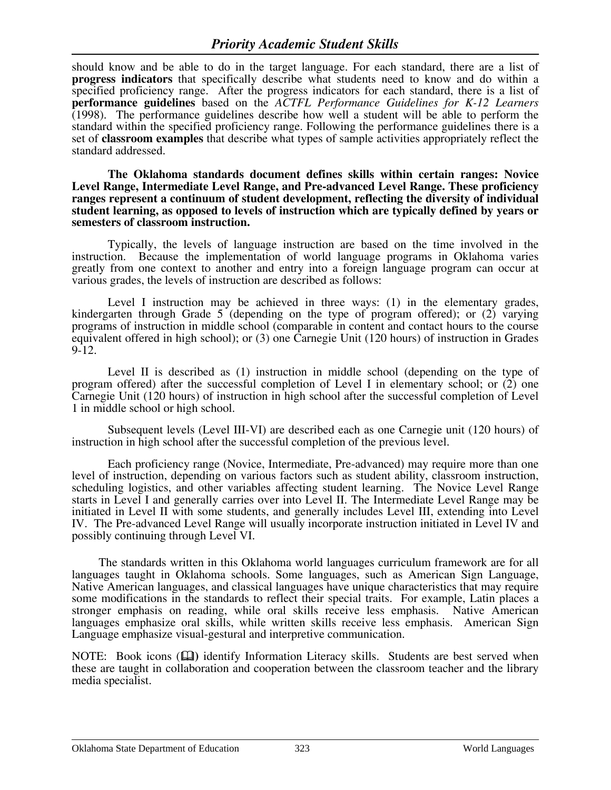should know and be able to do in the target language. For each standard, there are a list of **progress indicators** that specifically describe what students need to know and do within a specified proficiency range. After the progress indicators for each standard, there is a list of **performance guidelines** based on the *ACTFL Performance Guidelines for K-12 Learners* (1998). The performance guidelines describe how well a student will be able to perform the standard within the specified proficiency range. Following the performance guidelines there is a set of **classroom examples** that describe what types of sample activities appropriately reflect the standard addressed.

**The Oklahoma standards document defines skills within certain ranges: Novice Level Range, Intermediate Level Range, and Pre-advanced Level Range. These proficiency ranges represent a continuum of student development, reflecting the diversity of individual student learning, as opposed to levels of instruction which are typically defined by years or semesters of classroom instruction.** 

Typically, the levels of language instruction are based on the time involved in the instruction. Because the implementation of world language programs in Oklahoma varies greatly from one context to another and entry into a foreign language program can occur at various grades, the levels of instruction are described as follows:

Level I instruction may be achieved in three ways: (1) in the elementary grades, kindergarten through Grade 5 (depending on the type of program offered); or (2) varying programs of instruction in middle school (comparable in content and contact hours to the course equivalent offered in high school); or (3) one Carnegie Unit (120 hours) of instruction in Grades 9-12.

Level II is described as (1) instruction in middle school (depending on the type of program offered) after the successful completion of Level I in elementary school; or  $(2)$  one Carnegie Unit (120 hours) of instruction in high school after the successful completion of Level 1 in middle school or high school.

Subsequent levels (Level III-VI) are described each as one Carnegie unit (120 hours) of instruction in high school after the successful completion of the previous level.

Each proficiency range (Novice, Intermediate, Pre-advanced) may require more than one level of instruction, depending on various factors such as student ability, classroom instruction, scheduling logistics, and other variables affecting student learning. The Novice Level Range starts in Level I and generally carries over into Level II. The Intermediate Level Range may be initiated in Level II with some students, and generally includes Level III, extending into Level IV. The Pre-advanced Level Range will usually incorporate instruction initiated in Level IV and possibly continuing through Level VI.

 The standards written in this Oklahoma world languages curriculum framework are for all languages taught in Oklahoma schools. Some languages, such as American Sign Language, Native American languages, and classical languages have unique characteristics that may require some modifications in the standards to reflect their special traits. For example, Latin places a stronger emphasis on reading, while oral skills receive less emphasis. Native American languages emphasize oral skills, while written skills receive less emphasis. American Sign Language emphasize visual-gestural and interpretive communication.

NOTE: Book icons ( $\Box$ ) identify Information Literacy skills. Students are best served when these are taught in collaboration and cooperation between the classroom teacher and the library media specialist.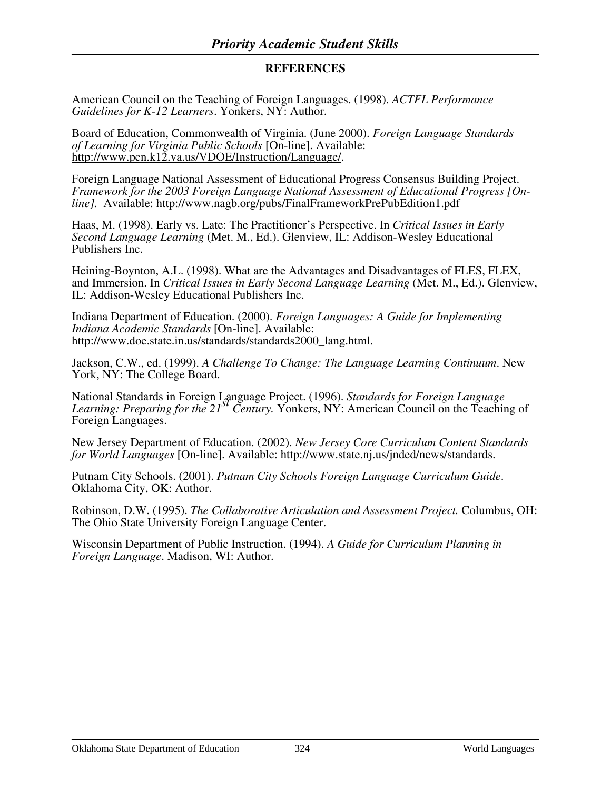### **REFERENCES**

American Council on the Teaching of Foreign Languages. (1998). *ACTFL Performance Guidelines for K-12 Learners*. Yonkers, NY: Author.

Board of Education, Commonwealth of Virginia. (June 2000). *Foreign Language Standards of Learning for Virginia Public Schools* [On-line]. Available: <http://www.pen.k12.va.us/VDOE/Instruction/Language/>.

Foreign Language National Assessment of Educational Progress Consensus Building Project. *Framework for the 2003 Foreign Language National Assessment of Educational Progress [Online].* Available: http://www.nagb.org/pubs/FinalFrameworkPrePubEdition1.pdf

Haas, M. (1998). Early vs. Late: The Practitioner's Perspective. In *Critical Issues in Early Second Language Learning* (Met. M., Ed.). Glenview, IL: Addison-Wesley Educational Publishers Inc.

Heining-Boynton, A.L. (1998). What are the Advantages and Disadvantages of FLES, FLEX, and Immersion. In *Critical Issues in Early Second Language Learning* (Met. M., Ed.). Glenview, IL: Addison-Wesley Educational Publishers Inc.

Indiana Department of Education. (2000). *Foreign Languages: A Guide for Implementing Indiana Academic Standards* [On-line]. Available: http://www.doe.state.in.us/standards/standards2000\_lang.html.

Jackson, C.W., ed. (1999). *A Challenge To Change: The Language Learning Continuum*. New York, NY: The College Board.

National Standards in Foreign Language Project. (1996). *Standards for Foreign Language Learning: Preparing for the 21st Century.* Yonkers, NY: American Council on the Teaching of Foreign Languages.

New Jersey Department of Education. (2002). *New Jersey Core Curriculum Content Standards for World Languages* [On-line]. Available: http://www.state.nj.us/jnded/news/standards.

Putnam City Schools. (2001). *Putnam City Schools Foreign Language Curriculum Guide*. Oklahoma City, OK: Author.

Robinson, D.W. (1995). *The Collaborative Articulation and Assessment Project.* Columbus, OH: The Ohio State University Foreign Language Center.

Wisconsin Department of Public Instruction. (1994). *A Guide for Curriculum Planning in Foreign Language*. Madison, WI: Author.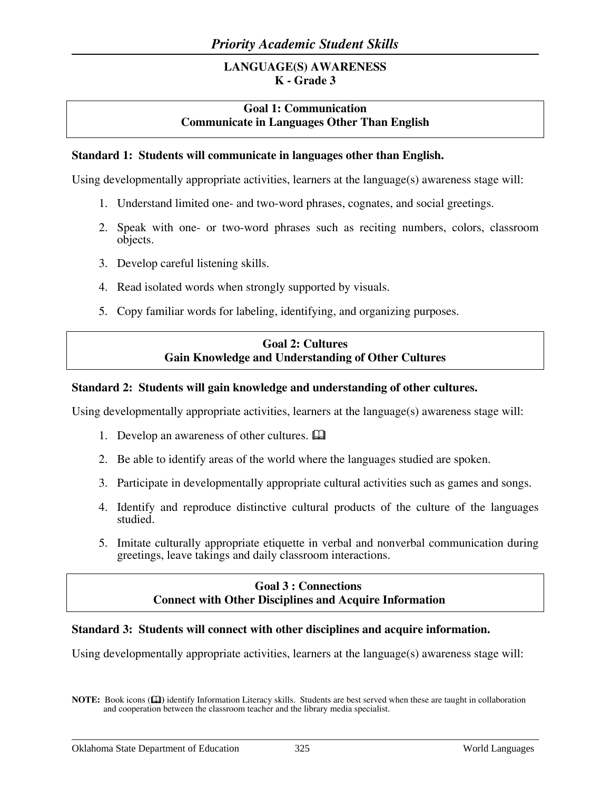# **LANGUAGE(S) AWARENESS K - Grade 3**

# **Goal 1: Communication Communicate in Languages Other Than English**

### **Standard 1: Students will communicate in languages other than English.**

Using developmentally appropriate activities, learners at the language(s) awareness stage will:

- 1. Understand limited one- and two-word phrases, cognates, and social greetings.
- 2. Speak with one- or two-word phrases such as reciting numbers, colors, classroom objects.
- 3. Develop careful listening skills.
- 4. Read isolated words when strongly supported by visuals.
- 5. Copy familiar words for labeling, identifying, and organizing purposes.

# **Goal 2: Cultures Gain Knowledge and Understanding of Other Cultures**

### **Standard 2: Students will gain knowledge and understanding of other cultures.**

Using developmentally appropriate activities, learners at the language(s) awareness stage will:

- 1. Develop an awareness of other cultures.  $\mathbf{\Omega}$
- 2. Be able to identify areas of the world where the languages studied are spoken.
- 3. Participate in developmentally appropriate cultural activities such as games and songs.
- 4. Identify and reproduce distinctive cultural products of the culture of the languages studied.
- 5. Imitate culturally appropriate etiquette in verbal and nonverbal communication during greetings, leave takings and daily classroom interactions.

### **Goal 3 : Connections Connect with Other Disciplines and Acquire Information**

#### **Standard 3: Students will connect with other disciplines and acquire information.**

Using developmentally appropriate activities, learners at the language(s) awareness stage will:

**NOTE:** Book icons ( $\Box$ ) identify Information Literacy skills. Students are best served when these are taught in collaboration and cooperation between the classroom teacher and the library media specialist.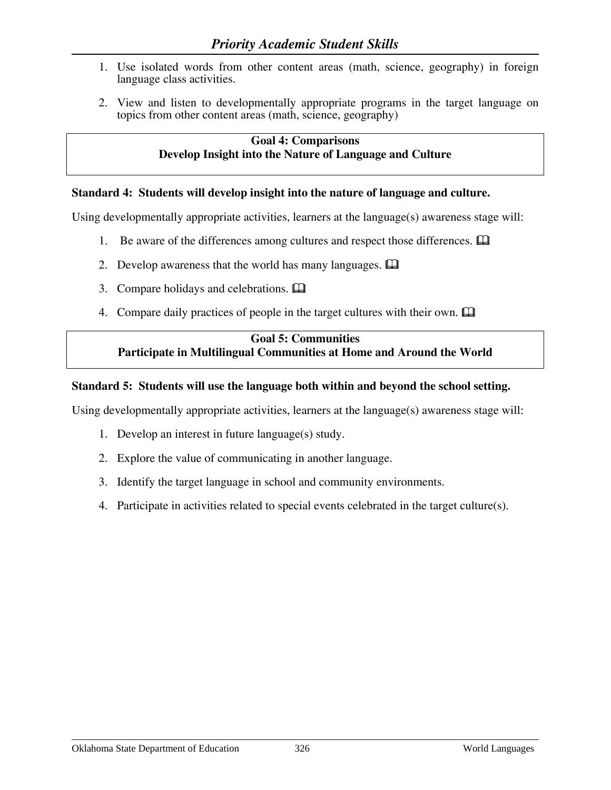- 1. Use isolated words from other content areas (math, science, geography) in foreign language class activities.
- 2. View and listen to developmentally appropriate programs in the target language on topics from other content areas (math, science, geography)

### **Goal 4: Comparisons Develop Insight into the Nature of Language and Culture**

### **Standard 4: Students will develop insight into the nature of language and culture.**

Using developmentally appropriate activities, learners at the language(s) awareness stage will:

- 1. Be aware of the differences among cultures and respect those differences.  $\Box$
- 2. Develop awareness that the world has many languages.  $\Box$
- 3. Compare holidays and celebrations.
- 4. Compare daily practices of people in the target cultures with their own.  $\Box$

# **Goal 5: Communities Participate in Multilingual Communities at Home and Around the World**

### **Standard 5: Students will use the language both within and beyond the school setting.**

Using developmentally appropriate activities, learners at the language(s) awareness stage will:

- 1. Develop an interest in future language(s) study.
- 2. Explore the value of communicating in another language.
- 3. Identify the target language in school and community environments.
- 4. Participate in activities related to special events celebrated in the target culture(s).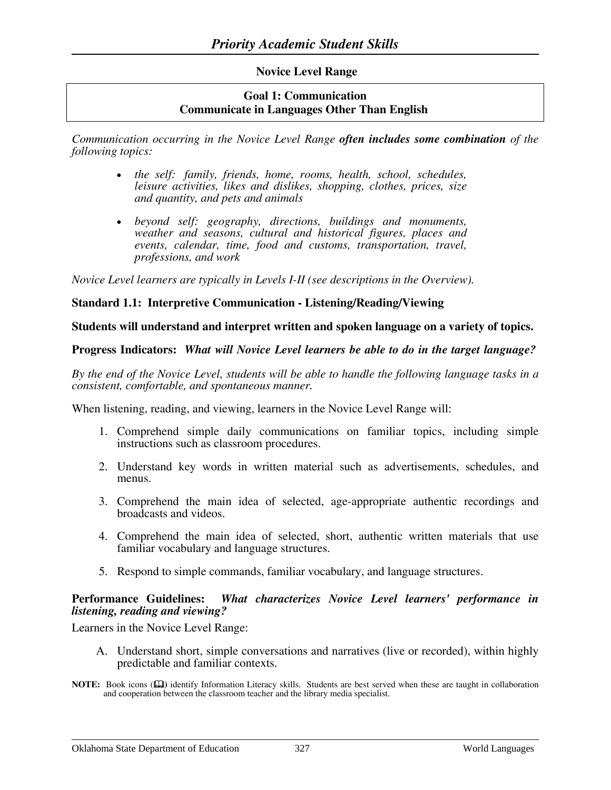### **Novice Level Range**

### **Goal 1: Communication Communicate in Languages Other Than English**

*Communication occurring in the Novice Level Range often includes some combination of the following topics:* 

- *the self: family, friends, home, rooms, health, school, schedules, leisure activities, likes and dislikes, shopping, clothes, prices, size and quantity, and pets and animals*
- *beyond self: geography, directions, buildings and monuments, weather and seasons, cultural and historical figures, places and events, calendar, time, food and customs, transportation, travel, professions, and work*

*Novice Level learners are typically in Levels I-II (see descriptions in the Overview).* 

### **Standard 1.1: Interpretive Communication - Listening/Reading/Viewing**

#### **Students will understand and interpret written and spoken language on a variety of topics.**

#### **Progress Indicators:** *What will Novice Level learners be able to do in the target language?*

*By the end of the Novice Level, students will be able to handle the following language tasks in a consistent, comfortable, and spontaneous manner.*

When listening, reading, and viewing, learners in the Novice Level Range will:

- 1. Comprehend simple daily communications on familiar topics, including simple instructions such as classroom procedures.
- 2. Understand key words in written material such as advertisements, schedules, and menus.
- 3. Comprehend the main idea of selected, age-appropriate authentic recordings and broadcasts and videos.
- 4. Comprehend the main idea of selected, short, authentic written materials that use familiar vocabulary and language structures.
- 5. Respond to simple commands, familiar vocabulary, and language structures.

### **Performance Guidelines:** *What characterizes Novice Level learners' performance in listening, reading and viewing?*

Learners in the Novice Level Range:

- A. Understand short, simple conversations and narratives (live or recorded), within highly predictable and familiar contexts.
- **NOTE:** Book icons ( $\Box$ ) identify Information Literacy skills. Students are best served when these are taught in collaboration and cooperation between the classroom teacher and the library media specialist.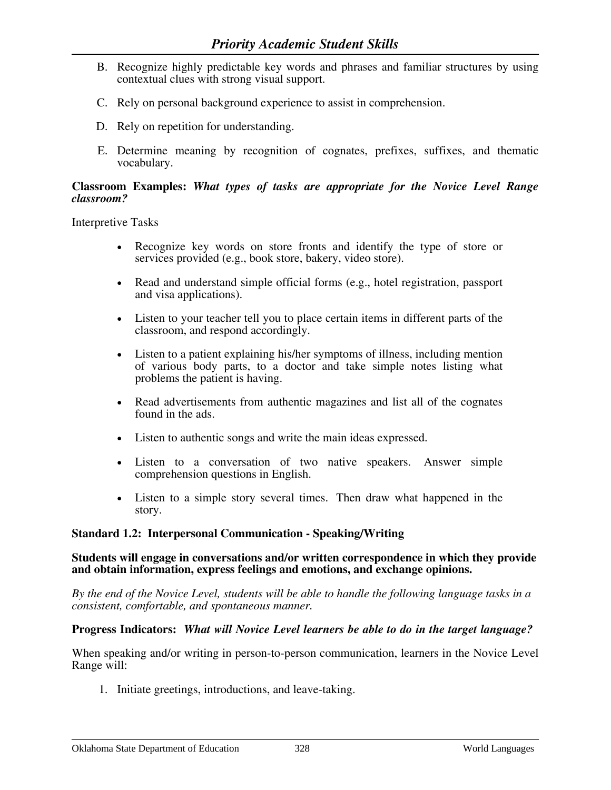- B. Recognize highly predictable key words and phrases and familiar structures by using contextual clues with strong visual support.
- C. Rely on personal background experience to assist in comprehension.
- D. Rely on repetition for understanding.
- E. Determine meaning by recognition of cognates, prefixes, suffixes, and thematic vocabulary.

Interpretive Tasks

- Recognize key words on store fronts and identify the type of store or services provided (e.g., book store, bakery, video store).
- Read and understand simple official forms (e.g., hotel registration, passport and visa applications).
- Listen to your teacher tell you to place certain items in different parts of the classroom, and respond accordingly.
- Listen to a patient explaining his/her symptoms of illness, including mention of various body parts, to a doctor and take simple notes listing what problems the patient is having.
- Read advertisements from authentic magazines and list all of the cognates found in the ads.
- Listen to authentic songs and write the main ideas expressed.
- Listen to a conversation of two native speakers. Answer simple comprehension questions in English.
- Listen to a simple story several times. Then draw what happened in the story.

### **Standard 1.2: Interpersonal Communication - Speaking/Writing**

#### **Students will engage in conversations and/or written correspondence in which they provide and obtain information, express feelings and emotions, and exchange opinions.**

*By the end of the Novice Level, students will be able to handle the following language tasks in a consistent, comfortable, and spontaneous manner.* 

#### **Progress Indicators:** *What will Novice Level learners be able to do in the target language?*

When speaking and/or writing in person-to-person communication, learners in the Novice Level Range will:

1. Initiate greetings, introductions, and leave-taking.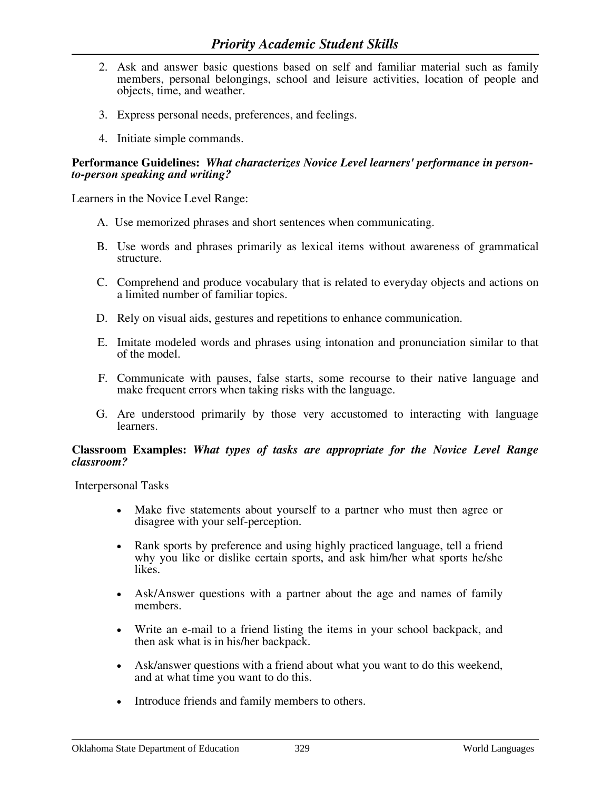- 2. Ask and answer basic questions based on self and familiar material such as family members, personal belongings, school and leisure activities, location of people and objects, time, and weather.
- 3. Express personal needs, preferences, and feelings.
- 4. Initiate simple commands.

### **Performance Guidelines:** *What characterizes Novice Level learners' performance in personto-person speaking and writing?*

Learners in the Novice Level Range:

- A. Use memorized phrases and short sentences when communicating.
- B. Use words and phrases primarily as lexical items without awareness of grammatical structure.
- C. Comprehend and produce vocabulary that is related to everyday objects and actions on a limited number of familiar topics.
- D. Rely on visual aids, gestures and repetitions to enhance communication.
- E. Imitate modeled words and phrases using intonation and pronunciation similar to that of the model.
- F. Communicate with pauses, false starts, some recourse to their native language and make frequent errors when taking risks with the language.
- G. Are understood primarily by those very accustomed to interacting with language learners.

#### **Classroom Examples:** *What types of tasks are appropriate for the Novice Level Range classroom?*

Interpersonal Tasks

- Make five statements about yourself to a partner who must then agree or disagree with your self-perception.
- Rank sports by preference and using highly practiced language, tell a friend why you like or dislike certain sports, and ask him/her what sports he/she likes.
- Ask/Answer questions with a partner about the age and names of family members.
- Write an e-mail to a friend listing the items in your school backpack, and then ask what is in his/her backpack.
- Ask/answer questions with a friend about what you want to do this weekend, and at what time you want to do this.
- Introduce friends and family members to others.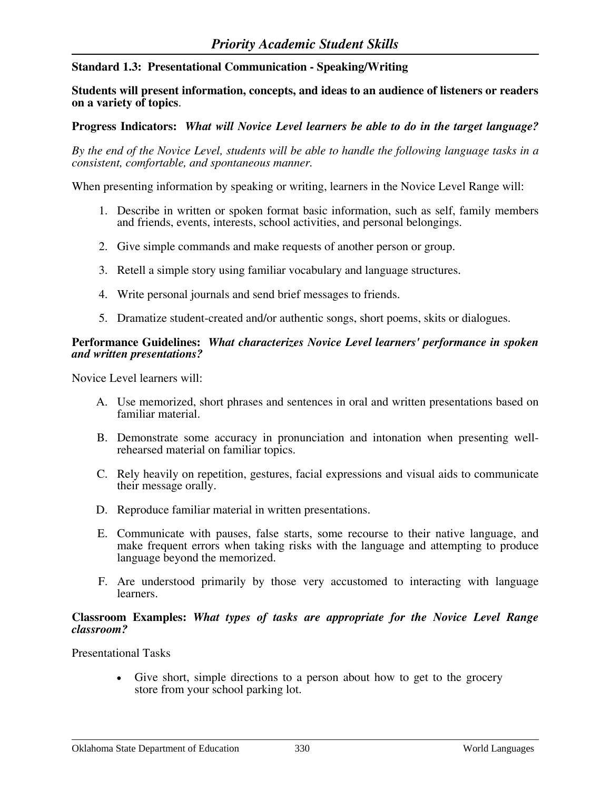**Standard 1.3: Presentational Communication - Speaking/Writing** 

**Students will present information, concepts, and ideas to an audience of listeners or readers on a variety of topics**.

**Progress Indicators:** *What will Novice Level learners be able to do in the target language?* 

*By the end of the Novice Level, students will be able to handle the following language tasks in a consistent, comfortable, and spontaneous manner.* 

When presenting information by speaking or writing, learners in the Novice Level Range will:

- 1. Describe in written or spoken format basic information, such as self, family members and friends, events, interests, school activities, and personal belongings.
- 2. Give simple commands and make requests of another person or group.
- 3. Retell a simple story using familiar vocabulary and language structures.
- 4. Write personal journals and send brief messages to friends.
- 5. Dramatize student-created and/or authentic songs, short poems, skits or dialogues.

#### **Performance Guidelines:** *What characterizes Novice Level learners' performance in spoken and written presentations?*

Novice Level learners will:

- A. Use memorized, short phrases and sentences in oral and written presentations based on familiar material.
- B. Demonstrate some accuracy in pronunciation and intonation when presenting wellrehearsed material on familiar topics.
- C. Rely heavily on repetition, gestures, facial expressions and visual aids to communicate their message orally.
- D. Reproduce familiar material in written presentations.
- E. Communicate with pauses, false starts, some recourse to their native language, and make frequent errors when taking risks with the language and attempting to produce language beyond the memorized.
- F. Are understood primarily by those very accustomed to interacting with language learners.

#### **Classroom Examples:** *What types of tasks are appropriate for the Novice Level Range classroom?*

Presentational Tasks

• Give short, simple directions to a person about how to get to the grocery store from your school parking lot.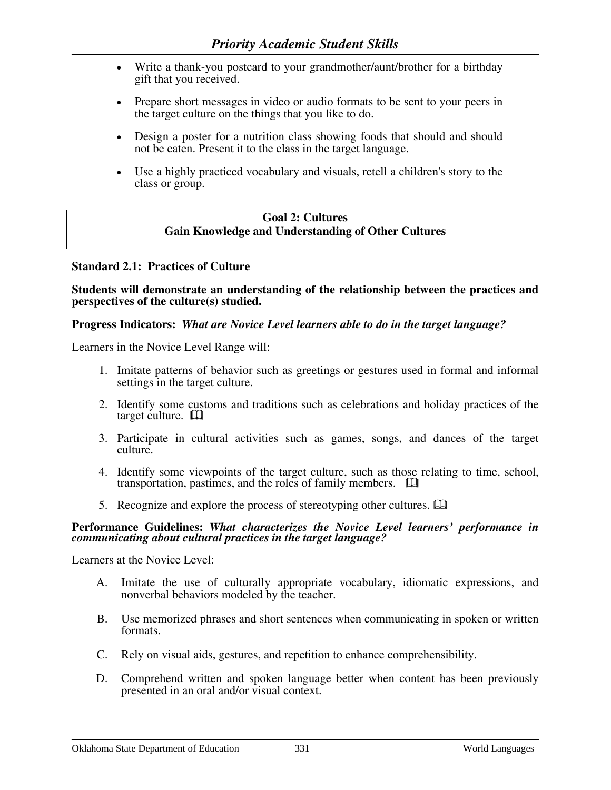- Write a thank-you postcard to your grandmother/aunt/brother for a birthday gift that you received.
- Prepare short messages in video or audio formats to be sent to your peers in the target culture on the things that you like to do.
- Design a poster for a nutrition class showing foods that should and should not be eaten. Present it to the class in the target language.
- Use a highly practiced vocabulary and visuals, retell a children's story to the class or group.

# **Goal 2: Cultures Gain Knowledge and Understanding of Other Cultures**

### **Standard 2.1: Practices of Culture**

#### **Students will demonstrate an understanding of the relationship between the practices and perspectives of the culture(s) studied.**

### **Progress Indicators:** *What are Novice Level learners able to do in the target language?*

Learners in the Novice Level Range will:

- 1. Imitate patterns of behavior such as greetings or gestures used in formal and informal settings in the target culture.
- 2. Identify some customs and traditions such as celebrations and holiday practices of the target culture.  $\square$
- 3. Participate in cultural activities such as games, songs, and dances of the target culture.
- 4. Identify some viewpoints of the target culture, such as those relating to time, school, transportation, pastimes, and the roles of family members.
- 5. Recognize and explore the process of stereotyping other cultures.  $\Box$

#### **Performance Guidelines:** *What characterizes the Novice Level learners' performance in communicating about cultural practices in the target language?*

Learners at the Novice Level:

- A. Imitate the use of culturally appropriate vocabulary, idiomatic expressions, and nonverbal behaviors modeled by the teacher.
- B. Use memorized phrases and short sentences when communicating in spoken or written formats.
- C. Rely on visual aids, gestures, and repetition to enhance comprehensibility.
- D. Comprehend written and spoken language better when content has been previously presented in an oral and/or visual context.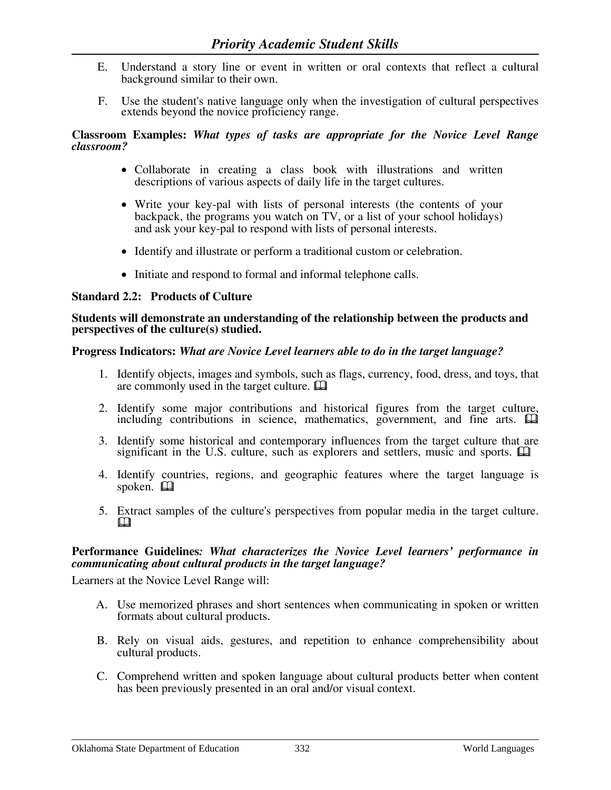- E. Understand a story line or event in written or oral contexts that reflect a cultural background similar to their own.
- F. Use the student's native language only when the investigation of cultural perspectives extends beyond the novice proficiency range.

- Collaborate in creating a class book with illustrations and written descriptions of various aspects of daily life in the target cultures.
- Write your key-pal with lists of personal interests (the contents of your backpack, the programs you watch on TV, or a list of your school holidays) and ask your key-pal to respond with lists of personal interests.
- Identify and illustrate or perform a traditional custom or celebration.
- Initiate and respond to formal and informal telephone calls.

#### **Standard 2.2: Products of Culture**

#### **Students will demonstrate an understanding of the relationship between the products and perspectives of the culture(s) studied.**

### **Progress Indicators:** *What are Novice Level learners able to do in the target language?*

- 1. Identify objects, images and symbols, such as flags, currency, food, dress, and toys, that are commonly used in the target culture.
- 2. Identify some major contributions and historical figures from the target culture, including contributions in science, mathematics, government, and fine arts.  $\Box$
- 3. Identify some historical and contemporary influences from the target culture that are significant in the U.S. culture, such as explorers and settlers, music and sports.  $\Box$
- 4. Identify countries, regions, and geographic features where the target language is spoken.  $\Box$
- 5. Extract samples of the culture's perspectives from popular media in the target culture.  $\mathbf{\Omega}$

### **Performance Guidelines***: What characterizes the Novice Level learners' performance in communicating about cultural products in the target language?*

Learners at the Novice Level Range will:

- A. Use memorized phrases and short sentences when communicating in spoken or written formats about cultural products.
- B. Rely on visual aids, gestures, and repetition to enhance comprehensibility about cultural products.
- C. Comprehend written and spoken language about cultural products better when content has been previously presented in an oral and/or visual context.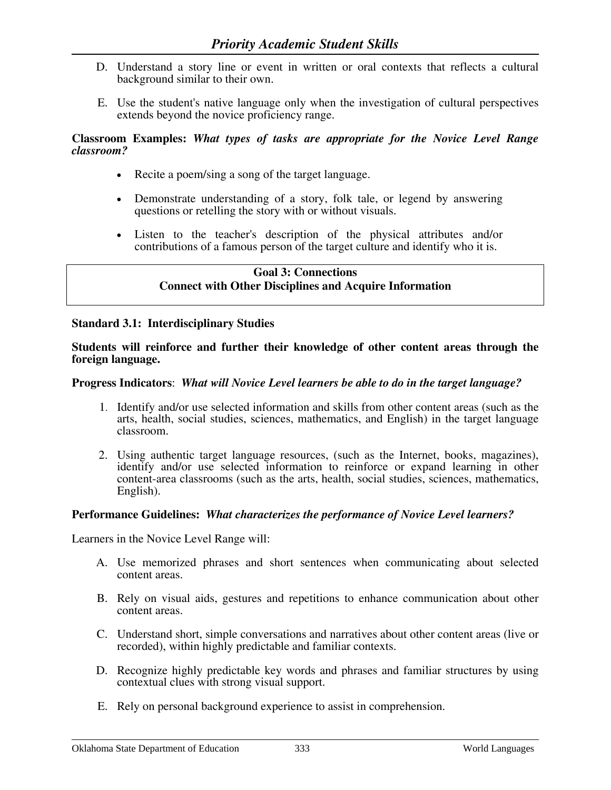- D. Understand a story line or event in written or oral contexts that reflects a cultural background similar to their own.
- E. Use the student's native language only when the investigation of cultural perspectives extends beyond the novice proficiency range.

- Recite a poem/sing a song of the target language.
- Demonstrate understanding of a story, folk tale, or legend by answering questions or retelling the story with or without visuals.
- Listen to the teacher's description of the physical attributes and/or contributions of a famous person of the target culture and identify who it is.

### **Goal 3: Connections Connect with Other Disciplines and Acquire Information**

### **Standard 3.1: Interdisciplinary Studies**

#### **Students will reinforce and further their knowledge of other content areas through the foreign language.**

### **Progress Indicators**: *What will Novice Level learners be able to do in the target language?*

- 1. Identify and/or use selected information and skills from other content areas (such as the arts, health, social studies, sciences, mathematics, and English) in the target language classroom.
- 2. Using authentic target language resources, (such as the Internet, books, magazines), identify and/or use selected information to reinforce or expand learning in other content-area classrooms (such as the arts, health, social studies, sciences, mathematics, English).

### **Performance Guidelines:** *What characterizes the performance of Novice Level learners?*

Learners in the Novice Level Range will:

- A. Use memorized phrases and short sentences when communicating about selected content areas.
- B. Rely on visual aids, gestures and repetitions to enhance communication about other content areas.
- C. Understand short, simple conversations and narratives about other content areas (live or recorded), within highly predictable and familiar contexts.
- D. Recognize highly predictable key words and phrases and familiar structures by using contextual clues with strong visual support.
- E. Rely on personal background experience to assist in comprehension.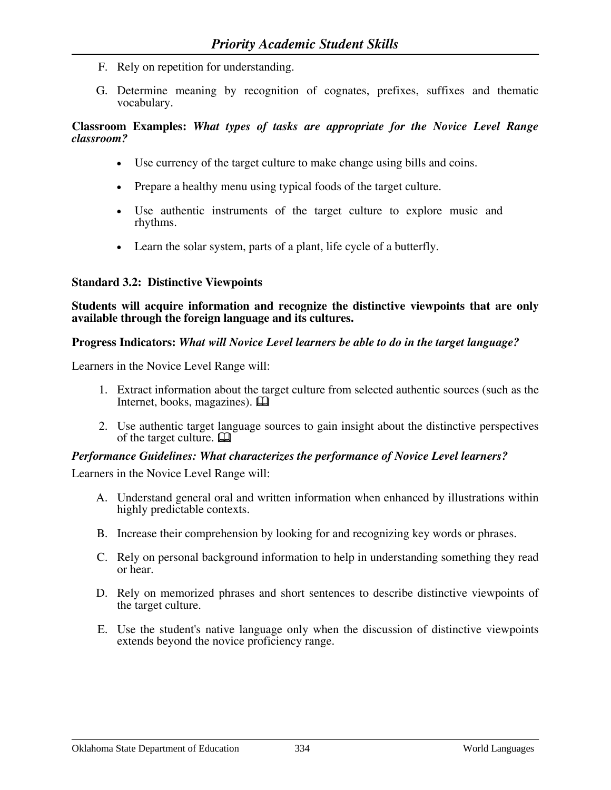- F. Rely on repetition for understanding.
- G. Determine meaning by recognition of cognates, prefixes, suffixes and thematic vocabulary.

- Use currency of the target culture to make change using bills and coins.
- Prepare a healthy menu using typical foods of the target culture.
- Use authentic instruments of the target culture to explore music and rhythms.
- Learn the solar system, parts of a plant, life cycle of a butterfly.

# **Standard 3.2: Distinctive Viewpoints**

**Students will acquire information and recognize the distinctive viewpoints that are only available through the foreign language and its cultures.** 

# **Progress Indicators:** *What will Novice Level learners be able to do in the target language?*

Learners in the Novice Level Range will:

- 1. Extract information about the target culture from selected authentic sources (such as the Internet, books, magazines).  $\Box$
- 2. Use authentic target language sources to gain insight about the distinctive perspectives of the target culture.  $\Box$

# *Performance Guidelines: What characterizes the performance of Novice Level learners?*

Learners in the Novice Level Range will:

- A. Understand general oral and written information when enhanced by illustrations within highly predictable contexts.
- B. Increase their comprehension by looking for and recognizing key words or phrases.
- C. Rely on personal background information to help in understanding something they read or hear.
- D. Rely on memorized phrases and short sentences to describe distinctive viewpoints of the target culture.
- E. Use the student's native language only when the discussion of distinctive viewpoints extends beyond the novice proficiency range.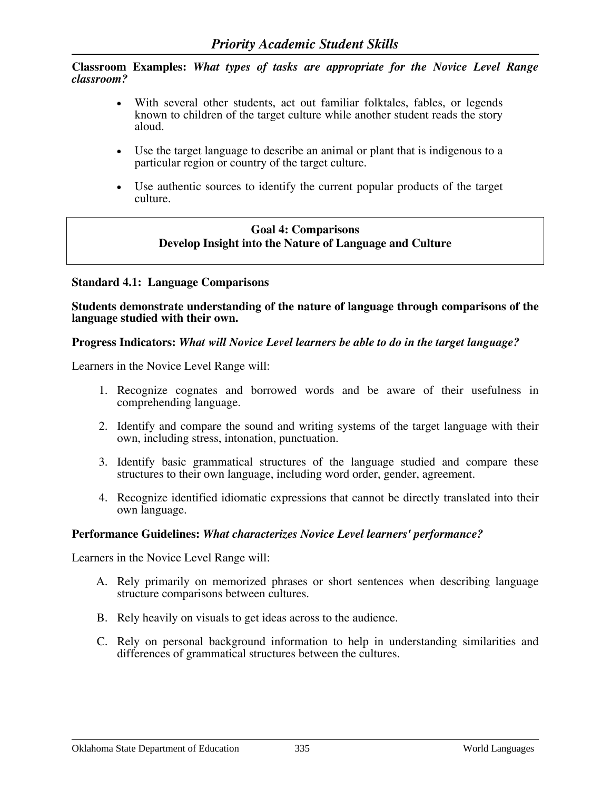- With several other students, act out familiar folktales, fables, or legends known to children of the target culture while another student reads the story aloud.
- Use the target language to describe an animal or plant that is indigenous to a particular region or country of the target culture.
- Use authentic sources to identify the current popular products of the target culture.

### **Goal 4: Comparisons Develop Insight into the Nature of Language and Culture**

### **Standard 4.1: Language Comparisons**

**Students demonstrate understanding of the nature of language through comparisons of the language studied with their own.** 

#### **Progress Indicators:** *What will Novice Level learners be able to do in the target language?*

Learners in the Novice Level Range will:

- 1. Recognize cognates and borrowed words and be aware of their usefulness in comprehending language.
- 2. Identify and compare the sound and writing systems of the target language with their own, including stress, intonation, punctuation.
- 3. Identify basic grammatical structures of the language studied and compare these structures to their own language, including word order, gender, agreement.
- 4. Recognize identified idiomatic expressions that cannot be directly translated into their own language.

### **Performance Guidelines:** *What characterizes Novice Level learners' performance?*

Learners in the Novice Level Range will:

- A. Rely primarily on memorized phrases or short sentences when describing language structure comparisons between cultures.
- B. Rely heavily on visuals to get ideas across to the audience.
- C. Rely on personal background information to help in understanding similarities and differences of grammatical structures between the cultures.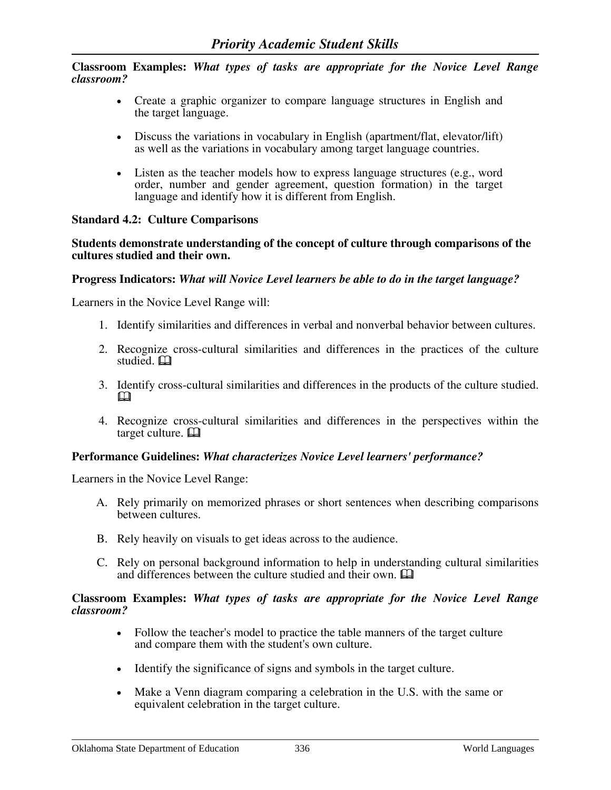- Create a graphic organizer to compare language structures in English and the target language.
- Discuss the variations in vocabulary in English (apartment/flat, elevator/lift) as well as the variations in vocabulary among target language countries.
- Listen as the teacher models how to express language structures (e.g., word order, number and gender agreement, question formation) in the target language and identify how it is different from English.

### **Standard 4.2: Culture Comparisons**

**Students demonstrate understanding of the concept of culture through comparisons of the cultures studied and their own.** 

#### **Progress Indicators:** *What will Novice Level learners be able to do in the target language?*

Learners in the Novice Level Range will:

- 1. Identify similarities and differences in verbal and nonverbal behavior between cultures.
- 2. Recognize cross-cultural similarities and differences in the practices of the culture studied. **Q**
- 3. Identify cross-cultural similarities and differences in the products of the culture studied.  $\mathbf \Omega$
- 4. Recognize cross-cultural similarities and differences in the perspectives within the target culture.  $\Box$

### **Performance Guidelines:** *What characterizes Novice Level learners' performance?*

Learners in the Novice Level Range:

- A. Rely primarily on memorized phrases or short sentences when describing comparisons between cultures.
- B. Rely heavily on visuals to get ideas across to the audience.
- C. Rely on personal background information to help in understanding cultural similarities and differences between the culture studied and their own.

#### **Classroom Examples:** *What types of tasks are appropriate for the Novice Level Range classroom?*

- Follow the teacher's model to practice the table manners of the target culture and compare them with the student's own culture.
- Identify the significance of signs and symbols in the target culture.
- Make a Venn diagram comparing a celebration in the U.S. with the same or equivalent celebration in the target culture.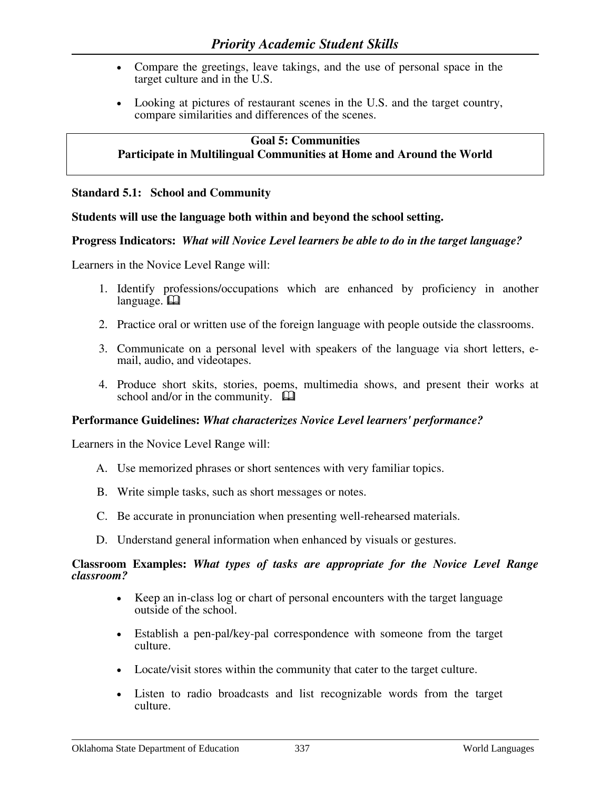- Compare the greetings, leave takings, and the use of personal space in the target culture and in the U.S.
- Looking at pictures of restaurant scenes in the U.S. and the target country, compare similarities and differences of the scenes.

# **Goal 5: Communities Participate in Multilingual Communities at Home and Around the World**

### **Standard 5.1: School and Community**

### **Students will use the language both within and beyond the school setting.**

### **Progress Indicators:** *What will Novice Level learners be able to do in the target language?*

Learners in the Novice Level Range will:

- 1. Identify professions/occupations which are enhanced by proficiency in another language. **Q**
- 2. Practice oral or written use of the foreign language with people outside the classrooms.
- 3. Communicate on a personal level with speakers of the language via short letters, email, audio, and videotapes.
- 4. Produce short skits, stories, poems, multimedia shows, and present their works at school and/or in the community.  $\Box$

### **Performance Guidelines:** *What characterizes Novice Level learners' performance?*

Learners in the Novice Level Range will:

- A. Use memorized phrases or short sentences with very familiar topics.
- B. Write simple tasks, such as short messages or notes.
- C. Be accurate in pronunciation when presenting well-rehearsed materials.
- D. Understand general information when enhanced by visuals or gestures.

#### **Classroom Examples:** *What types of tasks are appropriate for the Novice Level Range classroom?*

- Keep an in-class log or chart of personal encounters with the target language outside of the school.
- Establish a pen-pal/key-pal correspondence with someone from the target culture.
- Locate/visit stores within the community that cater to the target culture.
- Listen to radio broadcasts and list recognizable words from the target culture.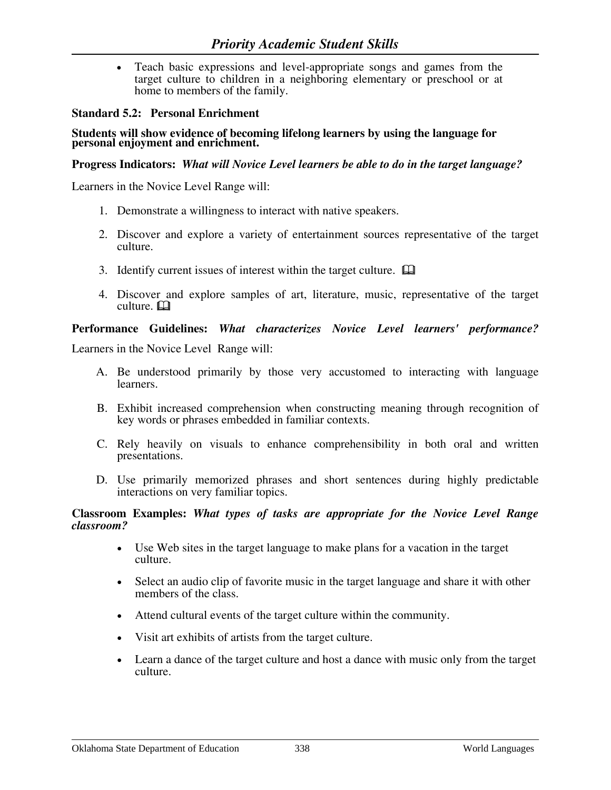• Teach basic expressions and level-appropriate songs and games from the target culture to children in a neighboring elementary or preschool or at home to members of the family.

### **Standard 5.2: Personal Enrichment**

# Į **Students will show evidence of becoming lifelong learners by using the language for personal enjoyment and enrichment.**

### **Progress Indicators:** *What will Novice Level learners be able to do in the target language?*

Learners in the Novice Level Range will:

- 1. Demonstrate a willingness to interact with native speakers.
- 2. Discover and explore a variety of entertainment sources representative of the target culture.
- 3. Identify current issues of interest within the target culture.  $\Box$
- 4. Discover and explore samples of art, literature, music, representative of the target culture.  $\Box$

### **Performance Guidelines:** *What characterizes Novice Level learners' performance?*

Learners in the Novice Level Range will:

- A. Be understood primarily by those very accustomed to interacting with language learners.
- B. Exhibit increased comprehension when constructing meaning through recognition of key words or phrases embedded in familiar contexts.
- C. Rely heavily on visuals to enhance comprehensibility in both oral and written presentations.
- D. Use primarily memorized phrases and short sentences during highly predictable interactions on very familiar topics.

#### **Classroom Examples:** *What types of tasks are appropriate for the Novice Level Range classroom?*

- Use Web sites in the target language to make plans for a vacation in the target culture.
- Select an audio clip of favorite music in the target language and share it with other members of the class.
- Attend cultural events of the target culture within the community.
- Visit art exhibits of artists from the target culture.
- Learn a dance of the target culture and host a dance with music only from the target culture.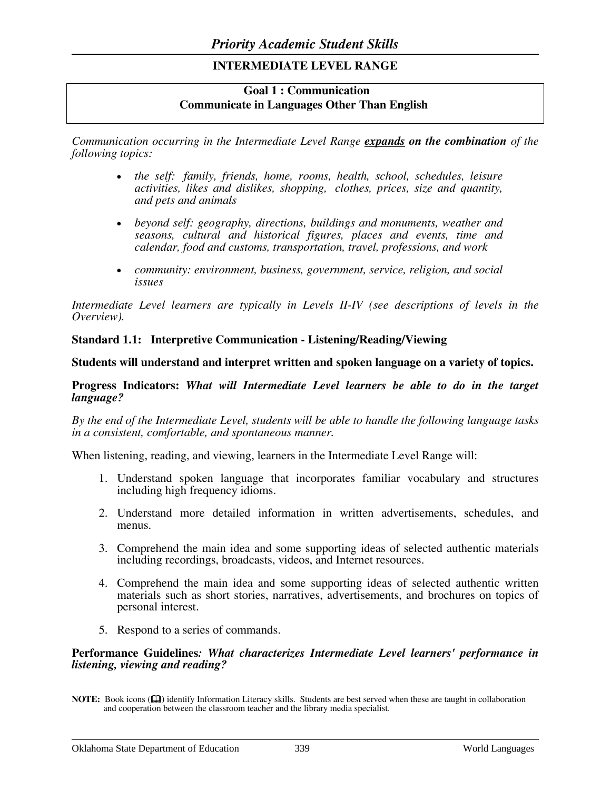# **INTERMEDIATE LEVEL RANGE**

# **Goal 1 : Communication Communicate in Languages Other Than English**

*Communication occurring in the Intermediate Level Range expands on the combination of the following topics:* 

- *the self: family, friends, home, rooms, health, school, schedules, leisure activities, likes and dislikes, shopping, clothes, prices, size and quantity, and pets and animals*
- *beyond self: geography, directions, buildings and monuments, weather and seasons, cultural and historical figures, places and events, time and calendar, food and customs, transportation, travel, professions, and work*
- *community: environment, business, government, service, religion, and social issues*

*Intermediate Level learners are typically in Levels II-IV (see descriptions of levels in the Overview).* 

### **Standard 1.1: Interpretive Communication - Listening/Reading/Viewing**

### **Students will understand and interpret written and spoken language on a variety of topics.**

#### **Progress Indicators:** *What will Intermediate Level learners be able to do in the target language?*

*By the end of the Intermediate Level, students will be able to handle the following language tasks in a consistent, comfortable, and spontaneous manner.*

When listening, reading, and viewing, learners in the Intermediate Level Range will:

- 1. Understand spoken language that incorporates familiar vocabulary and structures including high frequency idioms.
- 2. Understand more detailed information in written advertisements, schedules, and menus.
- 3. Comprehend the main idea and some supporting ideas of selected authentic materials including recordings, broadcasts, videos, and Internet resources.
- 4. Comprehend the main idea and some supporting ideas of selected authentic written materials such as short stories, narratives, advertisements, and brochures on topics of personal interest.
- 5. Respond to a series of commands.

#### **Performance Guidelines***: What characterizes Intermediate Level learners' performance in listening, viewing and reading?*

**NOTE:** Book icons ( $\Box$ ) identify Information Literacy skills. Students are best served when these are taught in collaboration and cooperation between the classroom teacher and the library media specialist.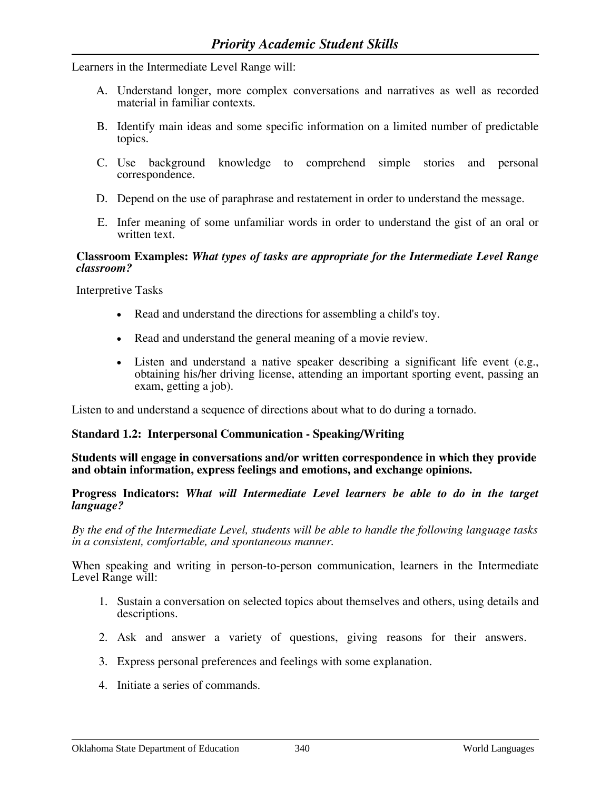Learners in the Intermediate Level Range will:

- A. Understand longer, more complex conversations and narratives as well as recorded material in familiar contexts.
- B. Identify main ideas and some specific information on a limited number of predictable topics.
- C. Use background knowledge to comprehend simple stories and personal correspondence.
- D. Depend on the use of paraphrase and restatement in order to understand the message.
- E. Infer meaning of some unfamiliar words in order to understand the gist of an oral or written text.

### **Classroom Examples:** *What types of tasks are appropriate for the Intermediate Level Range classroom?*

Interpretive Tasks

- Read and understand the directions for assembling a child's toy.
- Read and understand the general meaning of a movie review.
- Listen and understand a native speaker describing a significant life event (e.g., obtaining his/her driving license, attending an important sporting event, passing an exam, getting a job).

Listen to and understand a sequence of directions about what to do during a tornado.

### **Standard 1.2: Interpersonal Communication - Speaking/Writing**

#### **Students will engage in conversations and/or written correspondence in which they provide and obtain information, express feelings and emotions, and exchange opinions.**

#### **Progress Indicators:** *What will Intermediate Level learners be able to do in the target language?*

*By the end of the Intermediate Level, students will be able to handle the following language tasks in a consistent, comfortable, and spontaneous manner.* 

When speaking and writing in person-to-person communication, learners in the Intermediate Level Range will:

- 1. Sustain a conversation on selected topics about themselves and others, using details and descriptions.
- 2. Ask and answer a variety of questions, giving reasons for their answers.
- 3. Express personal preferences and feelings with some explanation.
- 4. Initiate a series of commands.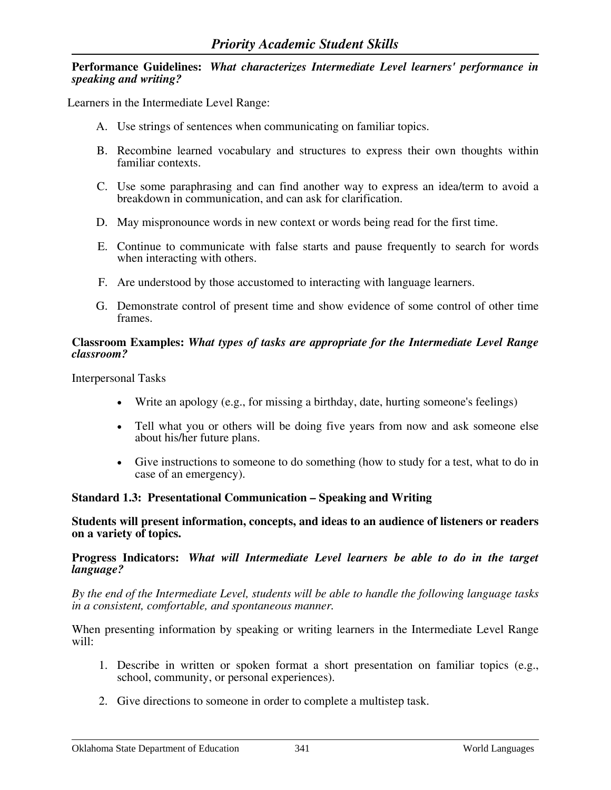### **Performance Guidelines:** *What characterizes Intermediate Level learners' performance in speaking and writing?*

Learners in the Intermediate Level Range:

- A. Use strings of sentences when communicating on familiar topics.
- B. Recombine learned vocabulary and structures to express their own thoughts within familiar contexts.
- C. Use some paraphrasing and can find another way to express an idea/term to avoid a breakdown in communication, and can ask for clarification.
- D. May mispronounce words in new context or words being read for the first time.
- E. Continue to communicate with false starts and pause frequently to search for words when interacting with others.
- F. Are understood by those accustomed to interacting with language learners.
- G. Demonstrate control of present time and show evidence of some control of other time frames.

### **Classroom Examples:** *What types of tasks are appropriate for the Intermediate Level Range classroom?*

Interpersonal Tasks

- Write an apology (e.g., for missing a birthday, date, hurting someone's feelings)
- Tell what you or others will be doing five years from now and ask someone else about his/her future plans.
- Give instructions to someone to do something (how to study for a test, what to do in case of an emergency).

### **Standard 1.3: Presentational Communication – Speaking and Writing**

**Students will present information, concepts, and ideas to an audience of listeners or readers on a variety of topics.** 

**Progress Indicators:** *What will Intermediate Level learners be able to do in the target language?* 

*By the end of the Intermediate Level, students will be able to handle the following language tasks in a consistent, comfortable, and spontaneous manner.*

When presenting information by speaking or writing learners in the Intermediate Level Range will:

- 1. Describe in written or spoken format a short presentation on familiar topics (e.g., school, community, or personal experiences).
- 2. Give directions to someone in order to complete a multistep task.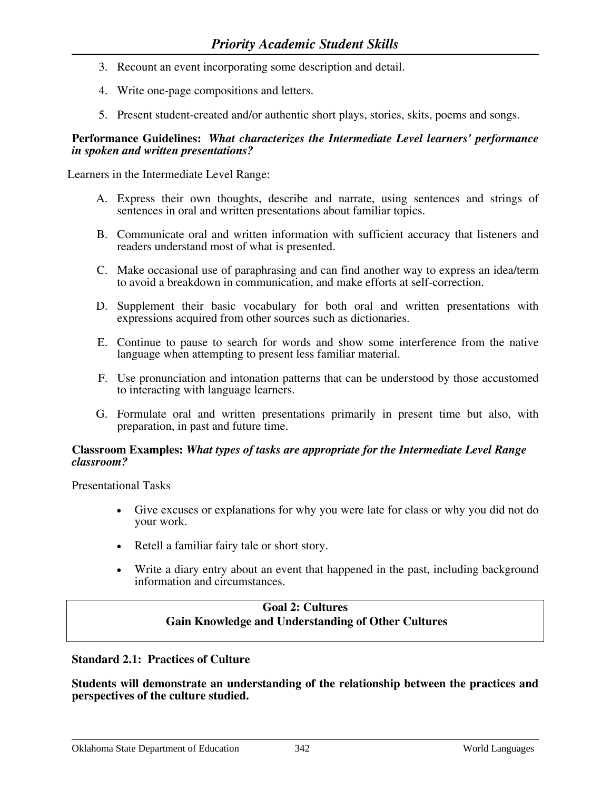- 3. Recount an event incorporating some description and detail.
- 4. Write one-page compositions and letters.
- 5. Present student-created and/or authentic short plays, stories, skits, poems and songs.

### **Performance Guidelines:** *What characterizes the Intermediate Level learners' performance in spoken and written presentations?*

Learners in the Intermediate Level Range:

- A. Express their own thoughts, describe and narrate, using sentences and strings of sentences in oral and written presentations about familiar topics.
- B. Communicate oral and written information with sufficient accuracy that listeners and readers understand most of what is presented.
- C. Make occasional use of paraphrasing and can find another way to express an idea/term to avoid a breakdown in communication, and make efforts at self-correction.
- D. Supplement their basic vocabulary for both oral and written presentations with expressions acquired from other sources such as dictionaries.
- E. Continue to pause to search for words and show some interference from the native language when attempting to present less familiar material.
- F. Use pronunciation and intonation patterns that can be understood by those accustomed to interacting with language learners.
- G. Formulate oral and written presentations primarily in present time but also, with preparation, in past and future time.

#### **Classroom Examples:** *What types of tasks are appropriate for the Intermediate Level Range classroom?*

Presentational Tasks

- Give excuses or explanations for why you were late for class or why you did not do your work.
- Retell a familiar fairy tale or short story.
- Write a diary entry about an event that happened in the past, including background information and circumstances.

# **Goal 2: Cultures Gain Knowledge and Understanding of Other Cultures**

### **Standard 2.1: Practices of Culture**

**Students will demonstrate an understanding of the relationship between the practices and perspectives of the culture studied.**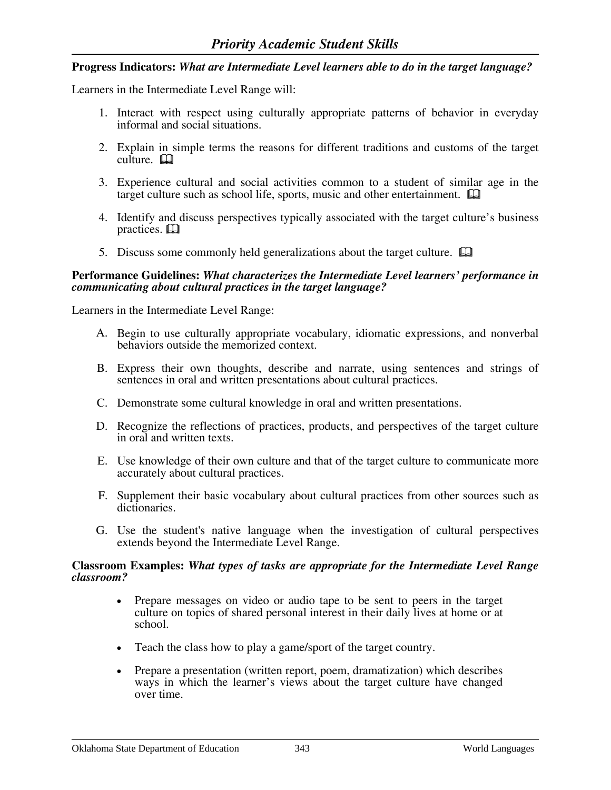### **Progress Indicators:** *What are Intermediate Level learners able to do in the target language?*

Learners in the Intermediate Level Range will:

- 1. Interact with respect using culturally appropriate patterns of behavior in everyday informal and social situations.
- 2. Explain in simple terms the reasons for different traditions and customs of the target  $culture. \Box$
- 3. Experience cultural and social activities common to a student of similar age in the target culture such as school life, sports, music and other entertainment.  $\Box$
- 4. Identify and discuss perspectives typically associated with the target culture's business practices.  $\Box$
- 5. Discuss some commonly held generalizations about the target culture.  $\Box$

### **Performance Guidelines:** *What characterizes the Intermediate Level learners' performance in communicating about cultural practices in the target language?*

Learners in the Intermediate Level Range:

- A. Begin to use culturally appropriate vocabulary, idiomatic expressions, and nonverbal behaviors outside the memorized context.
- B. Express their own thoughts, describe and narrate, using sentences and strings of sentences in oral and written presentations about cultural practices.
- C. Demonstrate some cultural knowledge in oral and written presentations.
- D. Recognize the reflections of practices, products, and perspectives of the target culture in oral and written texts.
- E. Use knowledge of their own culture and that of the target culture to communicate more accurately about cultural practices.
- F. Supplement their basic vocabulary about cultural practices from other sources such as dictionaries.
- G. Use the student's native language when the investigation of cultural perspectives extends beyond the Intermediate Level Range.

#### **Classroom Examples:** *What types of tasks are appropriate for the Intermediate Level Range classroom?*

- Prepare messages on video or audio tape to be sent to peers in the target culture on topics of shared personal interest in their daily lives at home or at school.
- Teach the class how to play a game/sport of the target country.
- Prepare a presentation (written report, poem, dramatization) which describes ways in which the learner's views about the target culture have changed over time.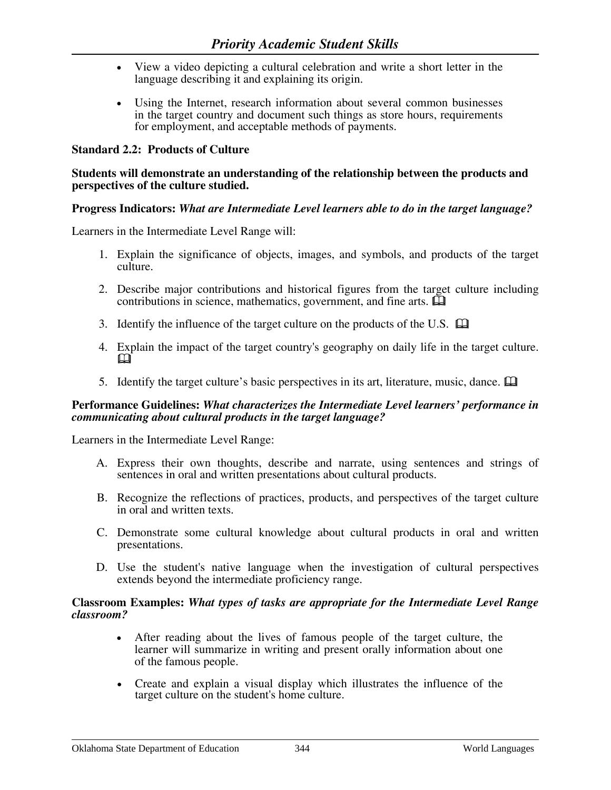- View a video depicting a cultural celebration and write a short letter in the language describing it and explaining its origin.
- Using the Internet, research information about several common businesses in the target country and document such things as store hours, requirements for employment, and acceptable methods of payments.

### **Standard 2.2: Products of Culture**

#### **Students will demonstrate an understanding of the relationship between the products and perspectives of the culture studied.**

#### **Progress Indicators:** *What are Intermediate Level learners able to do in the target language?*

Learners in the Intermediate Level Range will:

- 1. Explain the significance of objects, images, and symbols, and products of the target culture.
- 2. Describe major contributions and historical figures from the target culture including contributions in science, mathematics, government, and fine arts.  $\Box$
- 3. Identify the influence of the target culture on the products of the U.S.  $\Box$
- 4. Explain the impact of the target country's geography on daily life in the target culture.  $\mathbb{Z}$ 
	- 5. Identify the target culture's basic perspectives in its art, literature, music, dance.

#### **Performance Guidelines:** *What characterizes the Intermediate Level learners' performance in communicating about cultural products in the target language?*

Learners in the Intermediate Level Range:

- A. Express their own thoughts, describe and narrate, using sentences and strings of sentences in oral and written presentations about cultural products.
- B. Recognize the reflections of practices, products, and perspectives of the target culture in oral and written texts.
- C. Demonstrate some cultural knowledge about cultural products in oral and written presentations.
- D. Use the student's native language when the investigation of cultural perspectives extends beyond the intermediate proficiency range.

#### **Classroom Examples:** *What types of tasks are appropriate for the Intermediate Level Range classroom?*

- After reading about the lives of famous people of the target culture, the learner will summarize in writing and present orally information about one of the famous people.
- Create and explain a visual display which illustrates the influence of the target culture on the student's home culture.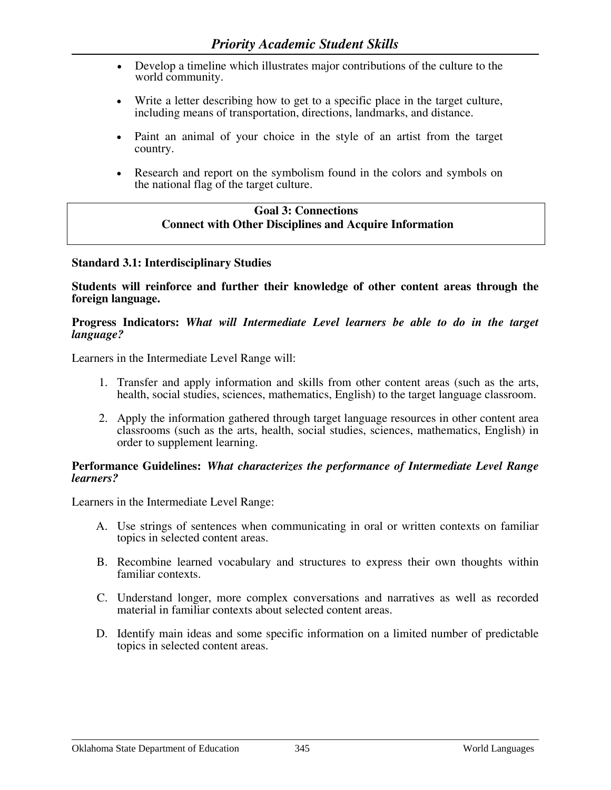- Develop a timeline which illustrates major contributions of the culture to the world community.
- Write a letter describing how to get to a specific place in the target culture, including means of transportation, directions, landmarks, and distance.
- Paint an animal of your choice in the style of an artist from the target country.
- Research and report on the symbolism found in the colors and symbols on the national flag of the target culture.

### **Goal 3: Connections Connect with Other Disciplines and Acquire Information**

### **Standard 3.1: Interdisciplinary Studies**

**Students will reinforce and further their knowledge of other content areas through the foreign language.** 

#### **Progress Indicators:** *What will Intermediate Level learners be able to do in the target language?*

Learners in the Intermediate Level Range will:

- 1. Transfer and apply information and skills from other content areas (such as the arts, health, social studies, sciences, mathematics, English) to the target language classroom.
- 2. Apply the information gathered through target language resources in other content area classrooms (such as the arts, health, social studies, sciences, mathematics, English) in order to supplement learning.

#### **Performance Guidelines:** *What characterizes the performance of Intermediate Level Range learners?*

Learners in the Intermediate Level Range:

- A. Use strings of sentences when communicating in oral or written contexts on familiar topics in selected content areas.
- B. Recombine learned vocabulary and structures to express their own thoughts within familiar contexts.
- C. Understand longer, more complex conversations and narratives as well as recorded material in familiar contexts about selected content areas.
- D. Identify main ideas and some specific information on a limited number of predictable topics in selected content areas.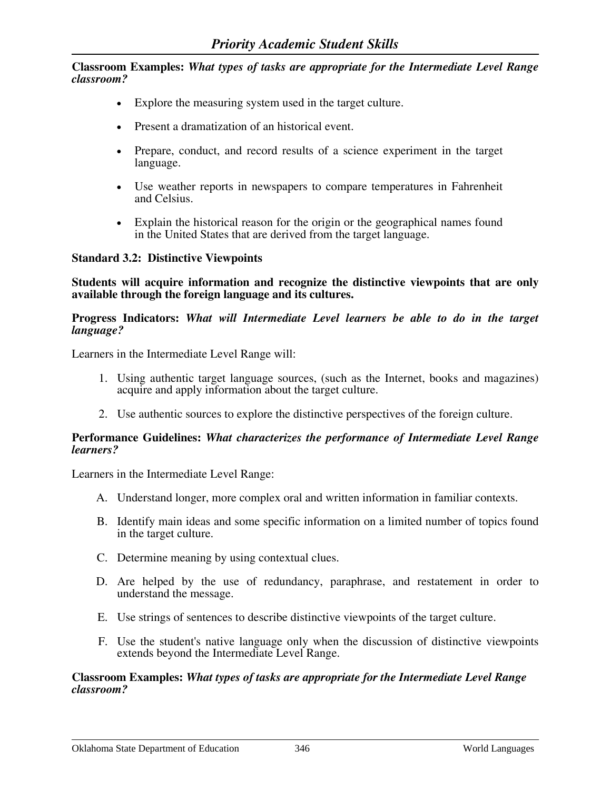- Explore the measuring system used in the target culture.
- Present a dramatization of an historical event.
- Prepare, conduct, and record results of a science experiment in the target language.
- Use weather reports in newspapers to compare temperatures in Fahrenheit and Celsius.
- Explain the historical reason for the origin or the geographical names found in the United States that are derived from the target language.

### **Standard 3.2: Distinctive Viewpoints**

**Students will acquire information and recognize the distinctive viewpoints that are only available through the foreign language and its cultures.**

#### **Progress Indicators:** *What will Intermediate Level learners be able to do in the target language?*

Learners in the Intermediate Level Range will:

- 1. Using authentic target language sources, (such as the Internet, books and magazines) acquire and apply information about the target culture.
- 2. Use authentic sources to explore the distinctive perspectives of the foreign culture.

#### **Performance Guidelines:** *What characterizes the performance of Intermediate Level Range learners?*

Learners in the Intermediate Level Range:

- A. Understand longer, more complex oral and written information in familiar contexts.
- B. Identify main ideas and some specific information on a limited number of topics found in the target culture.
- C. Determine meaning by using contextual clues.
- D. Are helped by the use of redundancy, paraphrase, and restatement in order to understand the message.
- E. Use strings of sentences to describe distinctive viewpoints of the target culture.
- F. Use the student's native language only when the discussion of distinctive viewpoints extends beyond the Intermediate Level Range.

#### **Classroom Examples:** *What types of tasks are appropriate for the Intermediate Level Range classroom?*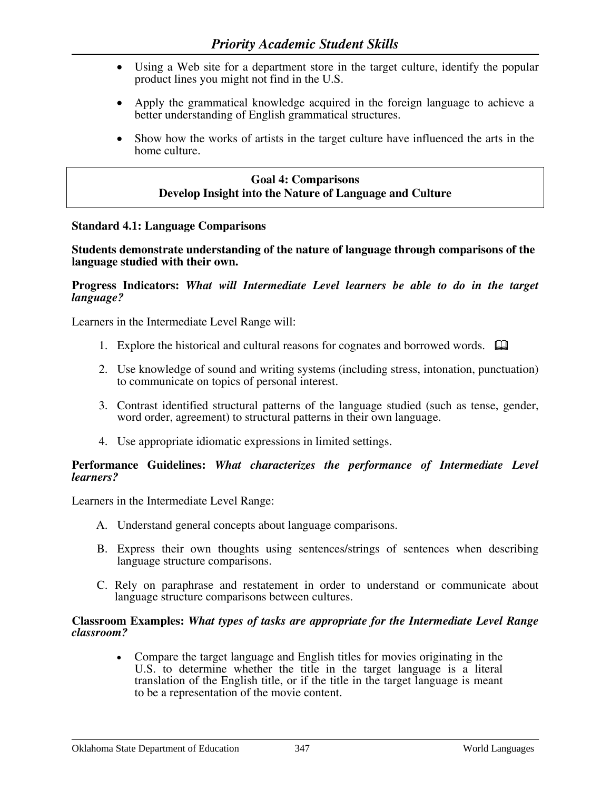- Using a Web site for a department store in the target culture, identify the popular product lines you might not find in the U.S.
- Apply the grammatical knowledge acquired in the foreign language to achieve a better understanding of English grammatical structures.
- Show how the works of artists in the target culture have influenced the arts in the home culture.

# **Goal 4: Comparisons Develop Insight into the Nature of Language and Culture**

#### **Standard 4.1: Language Comparisons**

**Students demonstrate understanding of the nature of language through comparisons of the language studied with their own.**

#### **Progress Indicators:** *What will Intermediate Level learners be able to do in the target language?*

Learners in the Intermediate Level Range will:

- 1. Explore the historical and cultural reasons for cognates and borrowed words.  $\Box$
- 2. Use knowledge of sound and writing systems (including stress, intonation, punctuation) to communicate on topics of personal interest.
- 3. Contrast identified structural patterns of the language studied (such as tense, gender, word order, agreement) to structural patterns in their own language.
- 4. Use appropriate idiomatic expressions in limited settings.

#### **Performance Guidelines:** *What characterizes the performance of Intermediate Level learners?*

Learners in the Intermediate Level Range:

- A. Understand general concepts about language comparisons.
- B. Express their own thoughts using sentences/strings of sentences when describing language structure comparisons.
- C. Rely on paraphrase and restatement in order to understand or communicate about language structure comparisons between cultures.

#### **Classroom Examples:** *What types of tasks are appropriate for the Intermediate Level Range classroom?*

• Compare the target language and English titles for movies originating in the U.S. to determine whether the title in the target language is a literal translation of the English title, or if the title in the target language is meant to be a representation of the movie content.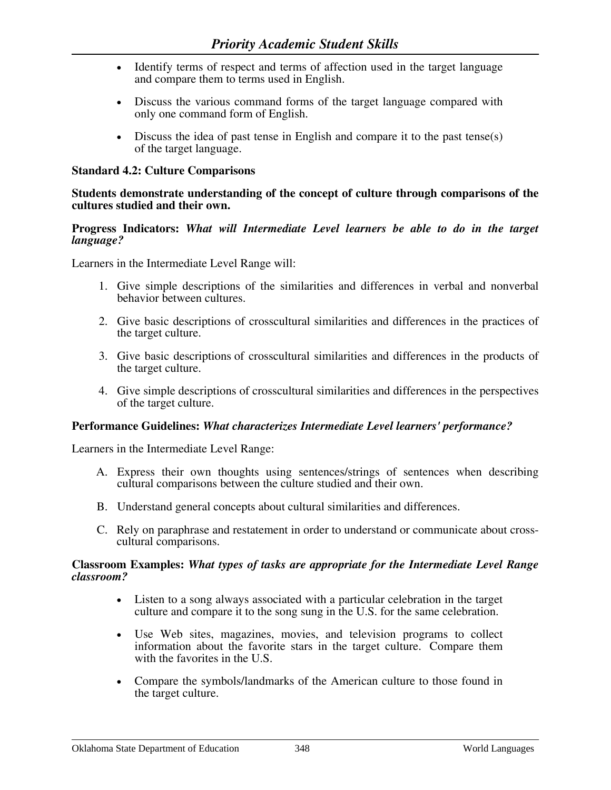- Identify terms of respect and terms of affection used in the target language and compare them to terms used in English.
- Discuss the various command forms of the target language compared with only one command form of English.
- Discuss the idea of past tense in English and compare it to the past tense(s) of the target language.

### **Standard 4.2: Culture Comparisons**

### **Students demonstrate understanding of the concept of culture through comparisons of the cultures studied and their own.**

### **Progress Indicators:** *What will Intermediate Level learners be able to do in the target language?*

Learners in the Intermediate Level Range will:

- 1. Give simple descriptions of the similarities and differences in verbal and nonverbal behavior between cultures.
- 2. Give basic descriptions of crosscultural similarities and differences in the practices of the target culture.
- 3. Give basic descriptions of crosscultural similarities and differences in the products of the target culture.
- 4. Give simple descriptions of crosscultural similarities and differences in the perspectives of the target culture.

### **Performance Guidelines:** *What characterizes Intermediate Level learners' performance?*

Learners in the Intermediate Level Range:

- A. Express their own thoughts using sentences/strings of sentences when describing cultural comparisons between the culture studied and their own.
- B. Understand general concepts about cultural similarities and differences.
- C. Rely on paraphrase and restatement in order to understand or communicate about crosscultural comparisons.

#### **Classroom Examples:** *What types of tasks are appropriate for the Intermediate Level Range classroom?*

- Listen to a song always associated with a particular celebration in the target culture and compare it to the song sung in the U.S. for the same celebration.
- Use Web sites, magazines, movies, and television programs to collect information about the favorite stars in the target culture. Compare them with the favorites in the U.S.
- Compare the symbols/landmarks of the American culture to those found in the target culture.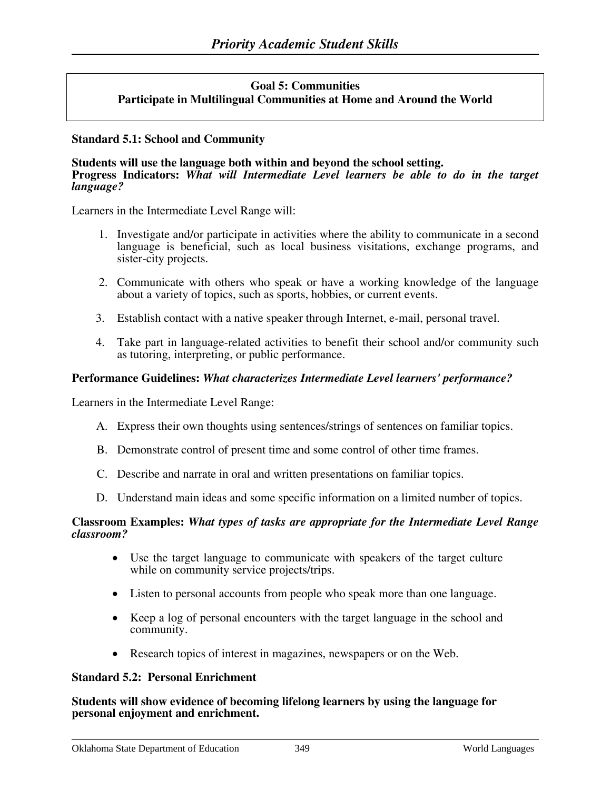### **Goal 5: Communities Participate in Multilingual Communities at Home and Around the World**

### **Standard 5.1: School and Community**

#### **Students will use the language both within and beyond the school setting. Progress Indicators:** *What will Intermediate Level learners be able to do in the target language?*

Learners in the Intermediate Level Range will:

- 1. Investigate and/or participate in activities where the ability to communicate in a second language is beneficial, such as local business visitations, exchange programs, and sister-city projects.
- 2. Communicate with others who speak or have a working knowledge of the language about a variety of topics, such as sports, hobbies, or current events.
- 3. Establish contact with a native speaker through Internet, e-mail, personal travel.
- 4. Take part in language-related activities to benefit their school and/or community such as tutoring, interpreting, or public performance.

#### **Performance Guidelines:** *What characterizes Intermediate Level learners' performance?*

Learners in the Intermediate Level Range:

- A. Express their own thoughts using sentences/strings of sentences on familiar topics.
- B. Demonstrate control of present time and some control of other time frames.
- C. Describe and narrate in oral and written presentations on familiar topics.
- D. Understand main ideas and some specific information on a limited number of topics.

#### **Classroom Examples:** *What types of tasks are appropriate for the Intermediate Level Range classroom?*

- Use the target language to communicate with speakers of the target culture while on community service projects/trips.
- Listen to personal accounts from people who speak more than one language.
- Keep a log of personal encounters with the target language in the school and community.
- Research topics of interest in magazines, newspapers or on the Web.

#### **Standard 5.2: Personal Enrichment**

**Students will show evidence of becoming lifelong learners by using the language for personal enjoyment and enrichment.**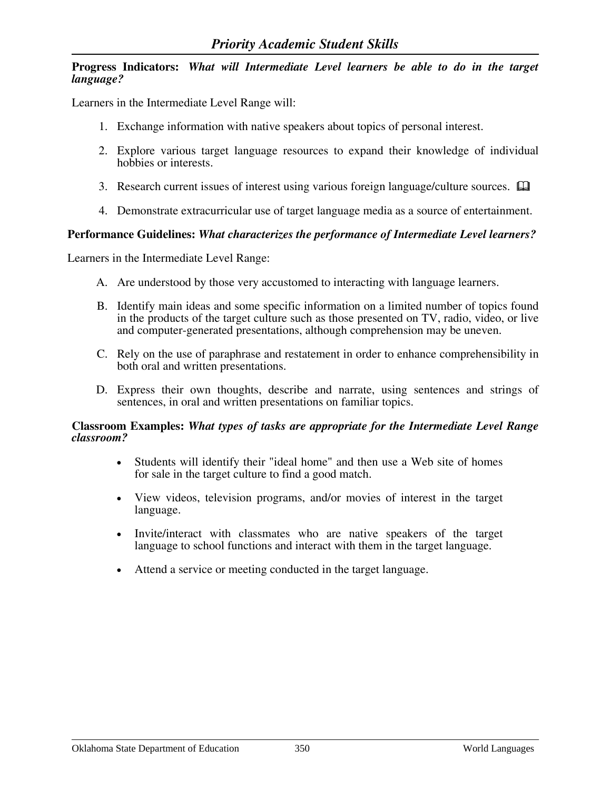### **Progress Indicators:** *What will Intermediate Level learners be able to do in the target language?*

Learners in the Intermediate Level Range will:

- 1. Exchange information with native speakers about topics of personal interest.
- 2. Explore various target language resources to expand their knowledge of individual hobbies or interests.
- 3. Research current issues of interest using various foreign language/culture sources.  $\Box$
- 4. Demonstrate extracurricular use of target language media as a source of entertainment.

### **Performance Guidelines:** *What characterizes the performance of Intermediate Level learners?*

Learners in the Intermediate Level Range:

- A. Are understood by those very accustomed to interacting with language learners.
- B. Identify main ideas and some specific information on a limited number of topics found in the products of the target culture such as those presented on TV, radio, video, or live and computer-generated presentations, although comprehension may be uneven.
- C. Rely on the use of paraphrase and restatement in order to enhance comprehensibility in both oral and written presentations.
- D. Express their own thoughts, describe and narrate, using sentences and strings of sentences, in oral and written presentations on familiar topics.

#### **Classroom Examples:** *What types of tasks are appropriate for the Intermediate Level Range classroom?*

- Students will identify their "ideal home" and then use a Web site of homes for sale in the target culture to find a good match.
- View videos, television programs, and/or movies of interest in the target language.
- Invite/interact with classmates who are native speakers of the target language to school functions and interact with them in the target language.
- Attend a service or meeting conducted in the target language.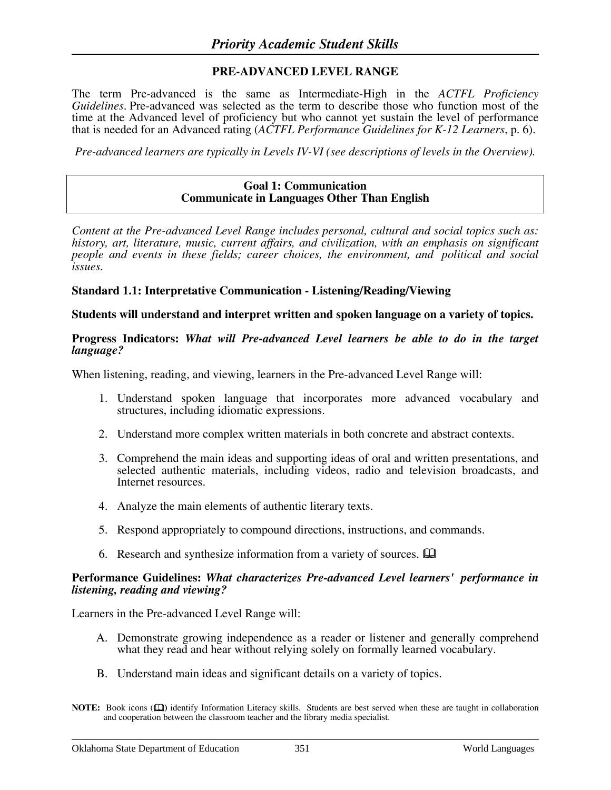### **PRE-ADVANCED LEVEL RANGE**

The term Pre-advanced is the same as Intermediate-High in the *ACTFL Proficiency Guidelines*. Pre-advanced was selected as the term to describe those who function most of the time at the Advanced level of proficiency but who cannot yet sustain the level of performance that is needed for an Advanced rating (*ACTFL Performance Guidelines for K-12 Learners*, p. 6).

*Pre-advanced learners are typically in Levels IV-VI (see descriptions of levels in the Overview).* 

#### **Goal 1: Communication Communicate in Languages Other Than English**

*Content at the Pre-advanced Level Range includes personal, cultural and social topics such as: history, art, literature, music, current affairs, and civilization, with an emphasis on significant people and events in these fields; career choices, the environment, and political and social issues.*

#### **Standard 1.1: Interpretative Communication - Listening/Reading/Viewing**

**Students will understand and interpret written and spoken language on a variety of topics.** 

#### **Progress Indicators:** *What will Pre-advanced Level learners be able to do in the target language?*

When listening, reading, and viewing, learners in the Pre-advanced Level Range will:

- 1. Understand spoken language that incorporates more advanced vocabulary and structures, including idiomatic expressions.
- 2. Understand more complex written materials in both concrete and abstract contexts.
- 3. Comprehend the main ideas and supporting ideas of oral and written presentations, and selected authentic materials, including videos, radio and television broadcasts, and Internet resources.
- 4. Analyze the main elements of authentic literary texts.
- 5. Respond appropriately to compound directions, instructions, and commands.
- 6. Research and synthesize information from a variety of sources.

#### **Performance Guidelines:** *What characterizes Pre-advanced Level learners' performance in listening, reading and viewing?*

- A. Demonstrate growing independence as a reader or listener and generally comprehend what they read and hear without relying solely on formally learned vocabulary.
- B. Understand main ideas and significant details on a variety of topics.

**NOTE:** Book icons ( $\Box$ ) identify Information Literacy skills. Students are best served when these are taught in collaboration and cooperation between the classroom teacher and the library media specialist.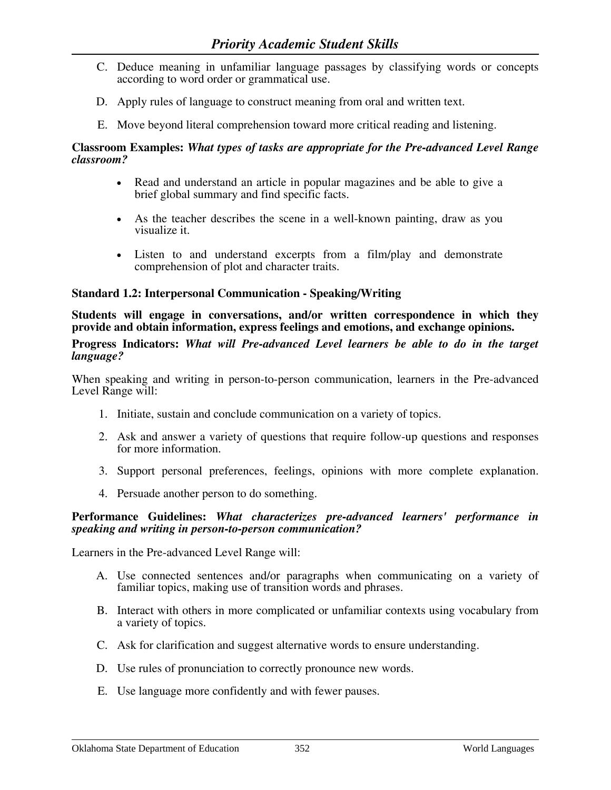- C. Deduce meaning in unfamiliar language passages by classifying words or concepts according to word order or grammatical use.
- D. Apply rules of language to construct meaning from oral and written text.
- E. Move beyond literal comprehension toward more critical reading and listening.

- Read and understand an article in popular magazines and be able to give a brief global summary and find specific facts.
- As the teacher describes the scene in a well-known painting, draw as you visualize it.
- Listen to and understand excerpts from a film/play and demonstrate comprehension of plot and character traits.

### **Standard 1.2: Interpersonal Communication - Speaking/Writing**

**Students will engage in conversations, and/or written correspondence in which they provide and obtain information, express feelings and emotions, and exchange opinions.**

**Progress Indicators:** *What will Pre-advanced Level learners be able to do in the target language?*

When speaking and writing in person-to-person communication, learners in the Pre-advanced Level Range will:

- 1. Initiate, sustain and conclude communication on a variety of topics.
- 2. Ask and answer a variety of questions that require follow-up questions and responses for more information.
- 3. Support personal preferences, feelings, opinions with more complete explanation.
- 4. Persuade another person to do something.

#### **Performance Guidelines:** *What characterizes pre-advanced learners' performance in speaking and writing in person-to-person communication?*

- A. Use connected sentences and/or paragraphs when communicating on a variety of familiar topics, making use of transition words and phrases.
- B. Interact with others in more complicated or unfamiliar contexts using vocabulary from a variety of topics.
- C. Ask for clarification and suggest alternative words to ensure understanding.
- D. Use rules of pronunciation to correctly pronounce new words.
- E. Use language more confidently and with fewer pauses.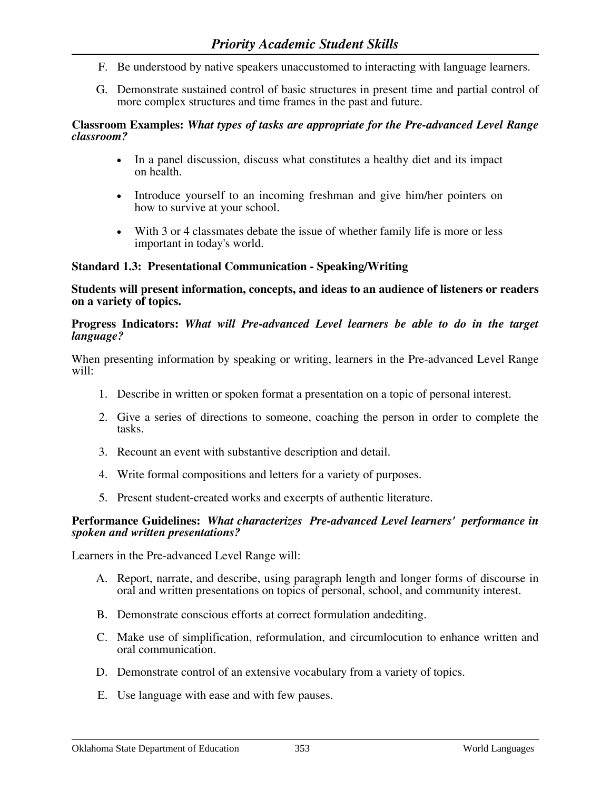- F. Be understood by native speakers unaccustomed to interacting with language learners.
- G. Demonstrate sustained control of basic structures in present time and partial control of more complex structures and time frames in the past and future.

- In a panel discussion, discuss what constitutes a healthy diet and its impact on health.
- Introduce yourself to an incoming freshman and give him/her pointers on how to survive at your school.
- With 3 or 4 classmates debate the issue of whether family life is more or less important in today's world.

### **Standard 1.3: Presentational Communication - Speaking/Writing**

**Students will present information, concepts, and ideas to an audience of listeners or readers on a variety of topics.** 

### **Progress Indicators:** *What will Pre-advanced Level learners be able to do in the target language?*

When presenting information by speaking or writing, learners in the Pre-advanced Level Range will:

- 1. Describe in written or spoken format a presentation on a topic of personal interest.
- 2. Give a series of directions to someone, coaching the person in order to complete the tasks.
- 3. Recount an event with substantive description and detail.
- 4. Write formal compositions and letters for a variety of purposes.
- 5. Present student-created works and excerpts of authentic literature.

#### **Performance Guidelines:** *What characterizes Pre-advanced Level learners' performance in spoken and written presentations?*

- A. Report, narrate, and describe, using paragraph length and longer forms of discourse in oral and written presentations on topics of personal, school, and community interest.
- B. Demonstrate conscious efforts at correct formulation andediting.
- C. Make use of simplification, reformulation, and circumlocution to enhance written and oral communication.
- D. Demonstrate control of an extensive vocabulary from a variety of topics.
- E. Use language with ease and with few pauses.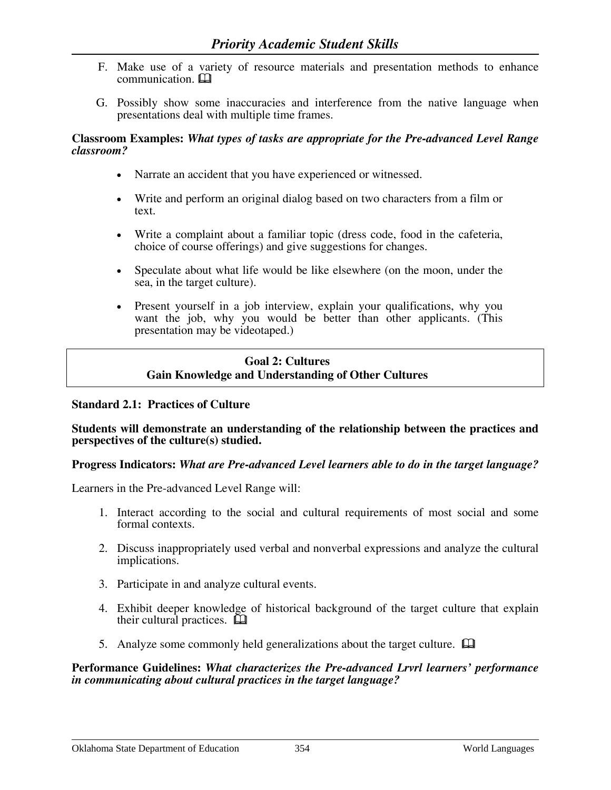- F. Make use of a variety of resource materials and presentation methods to enhance communication.
- G. Possibly show some inaccuracies and interference from the native language when presentations deal with multiple time frames.

- Narrate an accident that you have experienced or witnessed.
- Write and perform an original dialog based on two characters from a film or text.
- Write a complaint about a familiar topic (dress code, food in the cafeteria, choice of course offerings) and give suggestions for changes.
- Speculate about what life would be like elsewhere (on the moon, under the sea, in the target culture).
- Present yourself in a job interview, explain your qualifications, why you want the job, why you would be better than other applicants. (This presentation may be videotaped.)

# **Goal 2: Cultures Gain Knowledge and Understanding of Other Cultures**

# **Standard 2.1: Practices of Culture**

### **Students will demonstrate an understanding of the relationship between the practices and perspectives of the culture(s) studied.**

### **Progress Indicators:** *What are Pre-advanced Level learners able to do in the target language?*

Learners in the Pre-advanced Level Range will:

- 1. Interact according to the social and cultural requirements of most social and some formal contexts.
- 2. Discuss inappropriately used verbal and nonverbal expressions and analyze the cultural implications.
- 3. Participate in and analyze cultural events.
- 4. Exhibit deeper knowledge of historical background of the target culture that explain their cultural practices.  $\Box$
- 5. Analyze some commonly held generalizations about the target culture.  $\Box$

**Performance Guidelines:** *What characterizes the Pre-advanced Lrvrl learners' performance in communicating about cultural practices in the target language?*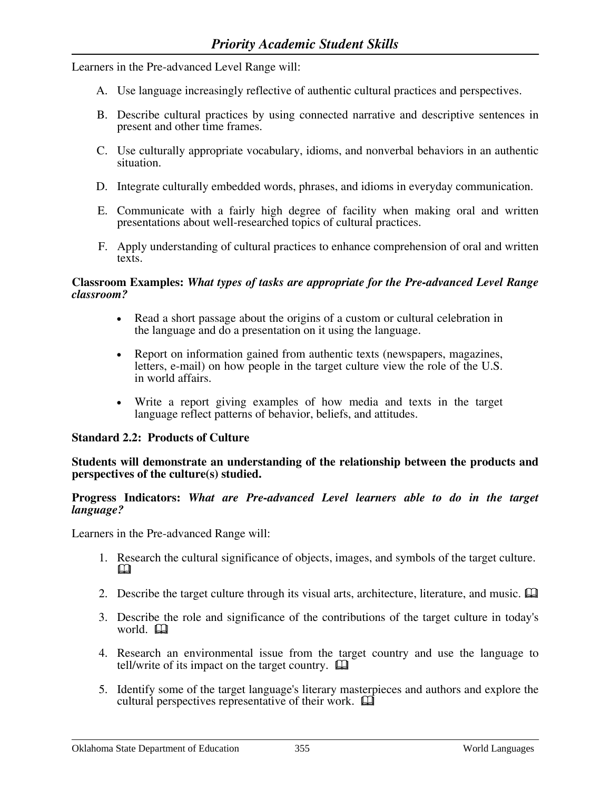Learners in the Pre-advanced Level Range will:

- A. Use language increasingly reflective of authentic cultural practices and perspectives.
- B. Describe cultural practices by using connected narrative and descriptive sentences in present and other time frames.
- C. Use culturally appropriate vocabulary, idioms, and nonverbal behaviors in an authentic situation.
- D. Integrate culturally embedded words, phrases, and idioms in everyday communication.
- E. Communicate with a fairly high degree of facility when making oral and written presentations about well-researched topics of cultural practices.
- F. Apply understanding of cultural practices to enhance comprehension of oral and written texts.

#### **Classroom Examples:** *What types of tasks are appropriate for the Pre-advanced Level Range classroom?*

- Read a short passage about the origins of a custom or cultural celebration in the language and do a presentation on it using the language.
- Report on information gained from authentic texts (newspapers, magazines, letters, e-mail) on how people in the target culture view the role of the U.S. in world affairs.
- Write a report giving examples of how media and texts in the target language reflect patterns of behavior, beliefs, and attitudes.

### **Standard 2.2: Products of Culture**

#### **Students will demonstrate an understanding of the relationship between the products and perspectives of the culture(s) studied.**

#### **Progress Indicators:** *What are Pre-advanced Level learners able to do in the target language?*

- 1. Research the cultural significance of objects, images, and symbols of the target culture. M.
- 2. Describe the target culture through its visual arts, architecture, literature, and music.  $\Box$
- 3. Describe the role and significance of the contributions of the target culture in today's world. **Q**
- 4. Research an environmental issue from the target country and use the language to tell/write of its impact on the target country.  $\Box$
- 5. Identify some of the target language's literary masterpieces and authors and explore the cultural perspectives representative of their work.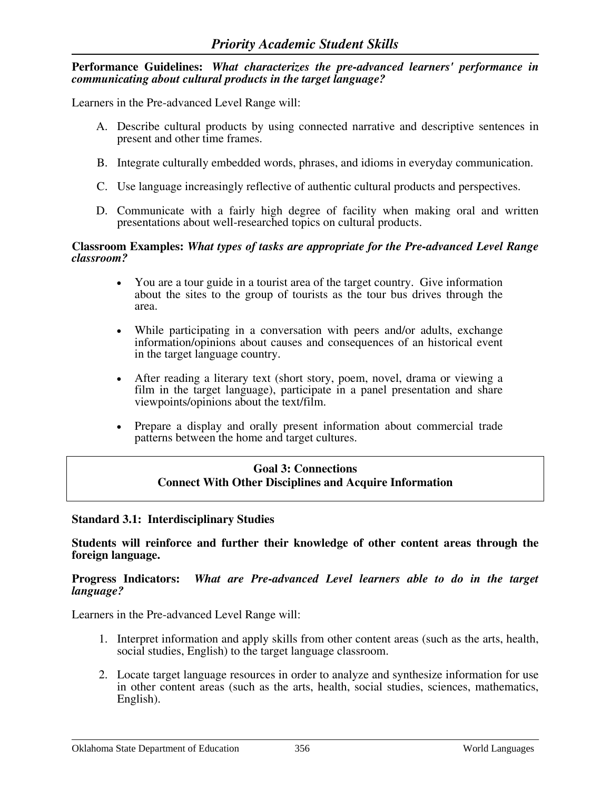### **Performance Guidelines:** *What characterizes the pre-advanced learners' performance in communicating about cultural products in the target language?*

Learners in the Pre-advanced Level Range will:

- A. Describe cultural products by using connected narrative and descriptive sentences in present and other time frames.
- B. Integrate culturally embedded words, phrases, and idioms in everyday communication.
- C. Use language increasingly reflective of authentic cultural products and perspectives.
- D. Communicate with a fairly high degree of facility when making oral and written presentations about well-researched topics on cultural products.

#### **Classroom Examples:** *What types of tasks are appropriate for the Pre-advanced Level Range classroom?*

- You are a tour guide in a tourist area of the target country. Give information about the sites to the group of tourists as the tour bus drives through the area.
- While participating in a conversation with peers and/or adults, exchange information/opinions about causes and consequences of an historical event in the target language country.
- After reading a literary text (short story, poem, novel, drama or viewing a film in the target language), participate in a panel presentation and share viewpoints/opinions about the text/film.
- Prepare a display and orally present information about commercial trade patterns between the home and target cultures.

### **Goal 3: Connections Connect With Other Disciplines and Acquire Information**

#### **Standard 3.1: Interdisciplinary Studies**

**Students will reinforce and further their knowledge of other content areas through the foreign language.**

#### **Progress Indicators:** *What are Pre-advanced Level learners able to do in the target language?*

- 1. Interpret information and apply skills from other content areas (such as the arts, health, social studies, English) to the target language classroom.
- 2. Locate target language resources in order to analyze and synthesize information for use in other content areas (such as the arts, health, social studies, sciences, mathematics, English).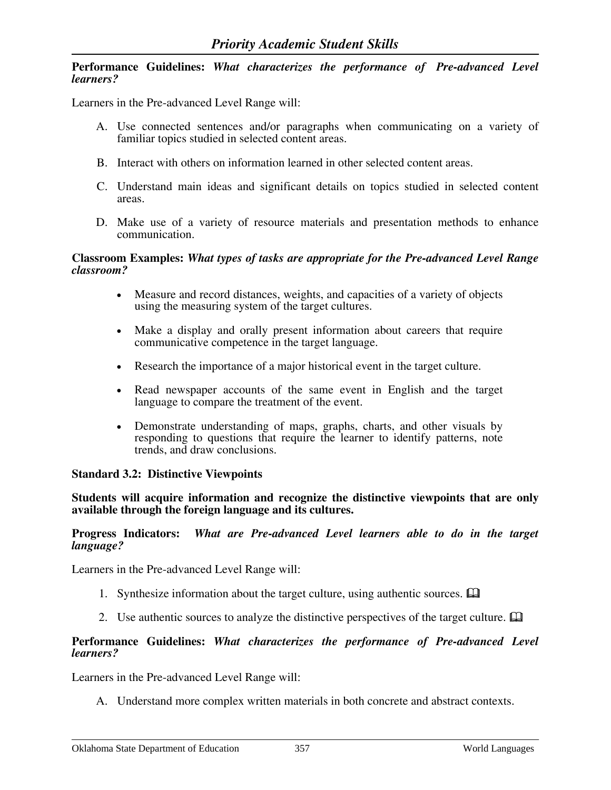#### **Performance Guidelines:** *What characterizes the performance of Pre-advanced Level learners?*

Learners in the Pre-advanced Level Range will:

- A. Use connected sentences and/or paragraphs when communicating on a variety of familiar topics studied in selected content areas.
- B. Interact with others on information learned in other selected content areas.
- C. Understand main ideas and significant details on topics studied in selected content areas.
- D. Make use of a variety of resource materials and presentation methods to enhance communication.

#### **Classroom Examples:** *What types of tasks are appropriate for the Pre-advanced Level Range classroom?*

- Measure and record distances, weights, and capacities of a variety of objects using the measuring system of the target cultures.
- Make a display and orally present information about careers that require communicative competence in the target language.
- Research the importance of a major historical event in the target culture.
- Read newspaper accounts of the same event in English and the target language to compare the treatment of the event.
- Demonstrate understanding of maps, graphs, charts, and other visuals by responding to questions that require the learner to identify patterns, note trends, and draw conclusions.

### **Standard 3.2: Distinctive Viewpoints**

**Students will acquire information and recognize the distinctive viewpoints that are only available through the foreign language and its cultures.**

#### **Progress Indicators:** *What are Pre-advanced Level learners able to do in the target language?*

Learners in the Pre-advanced Level Range will:

- 1. Synthesize information about the target culture, using authentic sources.  $\Box$
- 2. Use authentic sources to analyze the distinctive perspectives of the target culture.  $\Box$

#### **Performance Guidelines:** *What characterizes the performance of Pre-advanced Level learners?*

Learners in the Pre-advanced Level Range will:

A. Understand more complex written materials in both concrete and abstract contexts.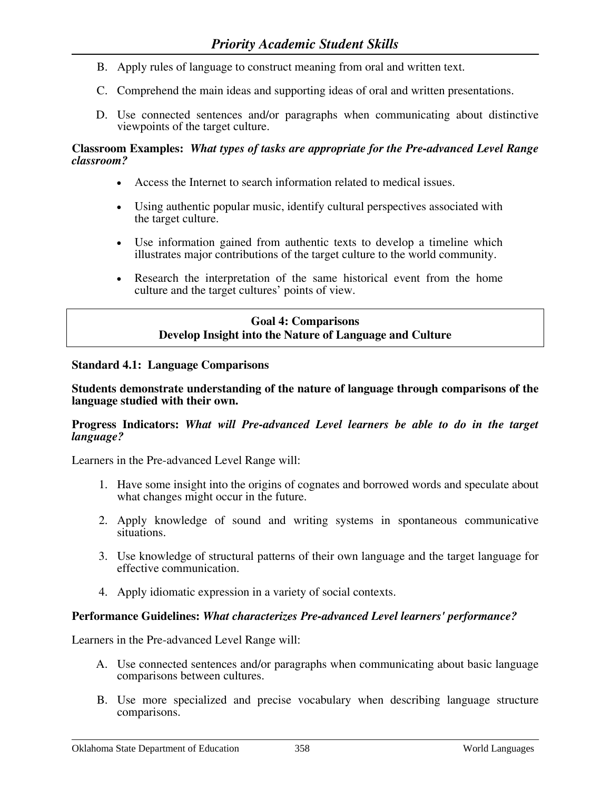- B. Apply rules of language to construct meaning from oral and written text.
- C. Comprehend the main ideas and supporting ideas of oral and written presentations.
- D. Use connected sentences and/or paragraphs when communicating about distinctive viewpoints of the target culture.

- Access the Internet to search information related to medical issues.
- Using authentic popular music, identify cultural perspectives associated with the target culture.
- Use information gained from authentic texts to develop a timeline which illustrates major contributions of the target culture to the world community.
- Research the interpretation of the same historical event from the home culture and the target cultures' points of view.

# **Goal 4: Comparisons Develop Insight into the Nature of Language and Culture**

### **Standard 4.1: Language Comparisons**

#### **Students demonstrate understanding of the nature of language through comparisons of the language studied with their own.**

#### **Progress Indicators:** *What will Pre-advanced Level learners be able to do in the target language?*

Learners in the Pre-advanced Level Range will:

- 1. Have some insight into the origins of cognates and borrowed words and speculate about what changes might occur in the future.
- 2. Apply knowledge of sound and writing systems in spontaneous communicative situations.
- 3. Use knowledge of structural patterns of their own language and the target language for effective communication.
- 4. Apply idiomatic expression in a variety of social contexts.

### **Performance Guidelines:** *What characterizes Pre-advanced Level learners' performance?*

- A. Use connected sentences and/or paragraphs when communicating about basic language comparisons between cultures.
- B. Use more specialized and precise vocabulary when describing language structure comparisons.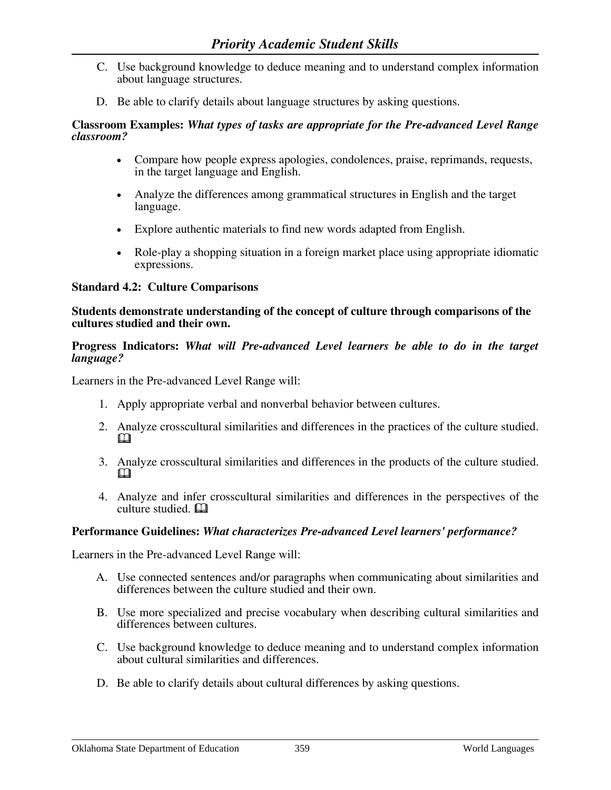- C. Use background knowledge to deduce meaning and to understand complex information about language structures.
- D. Be able to clarify details about language structures by asking questions.

- Compare how people express apologies, condolences, praise, reprimands, requests, in the target language and English.
- Analyze the differences among grammatical structures in English and the target language.
- Explore authentic materials to find new words adapted from English.
- Role-play a shopping situation in a foreign market place using appropriate idiomatic expressions.

### **Standard 4.2: Culture Comparisons**

#### **Students demonstrate understanding of the concept of culture through comparisons of the cultures studied and their own.**

### **Progress Indicators:** *What will Pre-advanced Level learners be able to do in the target language?*

Learners in the Pre-advanced Level Range will:

- 1. Apply appropriate verbal and nonverbal behavior between cultures.
- 2. Analyze crosscultural similarities and differences in the practices of the culture studied.  $\mathbf \Omega$
- 3. Analyze crosscultural similarities and differences in the products of the culture studied.  $\mathbf \Omega$
- 4. Analyze and infer crosscultural similarities and differences in the perspectives of the  $\overline{\mathbf{c}}$ ulture studied.  $\Box$

### **Performance Guidelines:** *What characterizes Pre-advanced Level learners' performance?*

- A. Use connected sentences and/or paragraphs when communicating about similarities and differences between the culture studied and their own.
- B. Use more specialized and precise vocabulary when describing cultural similarities and differences between cultures.
- C. Use background knowledge to deduce meaning and to understand complex information about cultural similarities and differences.
- D. Be able to clarify details about cultural differences by asking questions.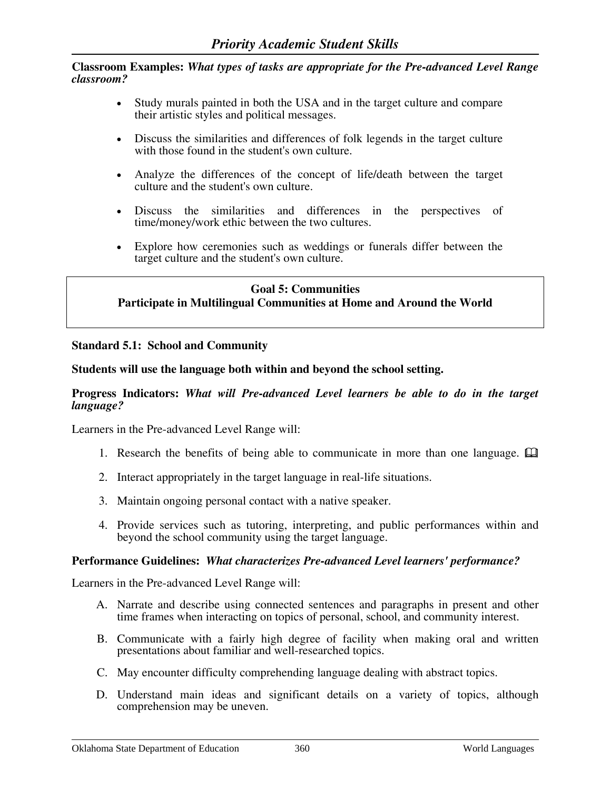- Study murals painted in both the USA and in the target culture and compare their artistic styles and political messages.
- Discuss the similarities and differences of folk legends in the target culture with those found in the student's own culture.
- Analyze the differences of the concept of life/death between the target culture and the student's own culture.
- Discuss the similarities and differences in the perspectives of time/money/work ethic between the two cultures.
- Explore how ceremonies such as weddings or funerals differ between the target culture and the student's own culture.

### **Goal 5: Communities Participate in Multilingual Communities at Home and Around the World**

### **Standard 5.1: School and Community**

### **Students will use the language both within and beyond the school setting.**

### **Progress Indicators:** *What will Pre-advanced Level learners be able to do in the target language?*

Learners in the Pre-advanced Level Range will:

- 1. Research the benefits of being able to communicate in more than one language.  $\Box$
- 2. Interact appropriately in the target language in real-life situations.
- 3. Maintain ongoing personal contact with a native speaker.
- 4. Provide services such as tutoring, interpreting, and public performances within and beyond the school community using the target language.

#### **Performance Guidelines:** *What characterizes Pre-advanced Level learners' performance?*

- A. Narrate and describe using connected sentences and paragraphs in present and other time frames when interacting on topics of personal, school, and community interest.
- B. Communicate with a fairly high degree of facility when making oral and written presentations about familiar and well-researched topics.
- C. May encounter difficulty comprehending language dealing with abstract topics.
- D. Understand main ideas and significant details on a variety of topics, although comprehension may be uneven.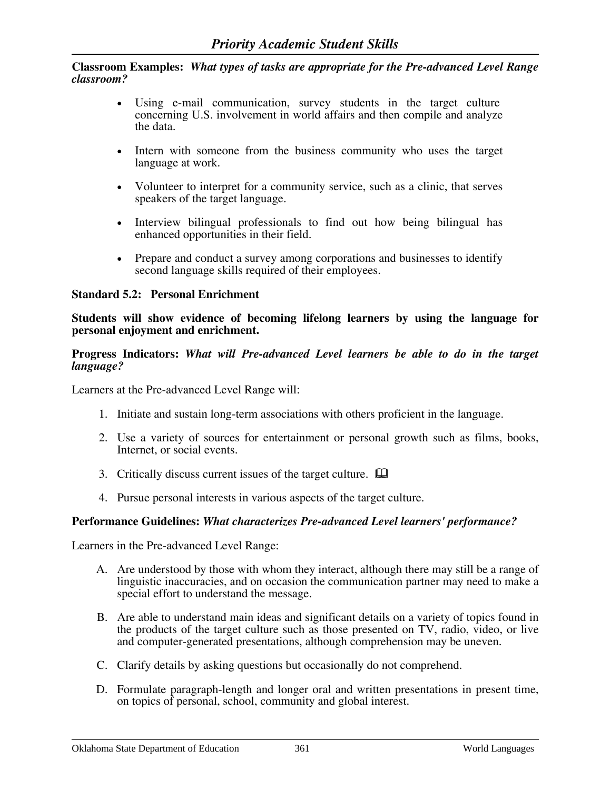- Using e-mail communication, survey students in the target culture concerning U.S. involvement in world affairs and then compile and analyze the data.
- Intern with someone from the business community who uses the target language at work.
- Volunteer to interpret for a community service, such as a clinic, that serves speakers of the target language.
- Interview bilingual professionals to find out how being bilingual has enhanced opportunities in their field.
- Prepare and conduct a survey among corporations and businesses to identify second language skills required of their employees.

### **Standard 5.2: Personal Enrichment**

**Students will show evidence of becoming lifelong learners by using the language for personal enjoyment and enrichment.** 

#### **Progress Indicators:** *What will Pre-advanced Level learners be able to do in the target language?*

Learners at the Pre-advanced Level Range will:

- 1. Initiate and sustain long-term associations with others proficient in the language.
- 2. Use a variety of sources for entertainment or personal growth such as films, books, Internet, or social events.
- 3. Critically discuss current issues of the target culture.
- 4. Pursue personal interests in various aspects of the target culture.

### **Performance Guidelines:** *What characterizes Pre-advanced Level learners' performance?*

- A. Are understood by those with whom they interact, although there may still be a range of linguistic inaccuracies, and on occasion the communication partner may need to make a special effort to understand the message.
- B. Are able to understand main ideas and significant details on a variety of topics found in the products of the target culture such as those presented on TV, radio, video, or live and computer-generated presentations, although comprehension may be uneven.
- C. Clarify details by asking questions but occasionally do not comprehend.
- D. Formulate paragraph-length and longer oral and written presentations in present time, on topics of personal, school, community and global interest.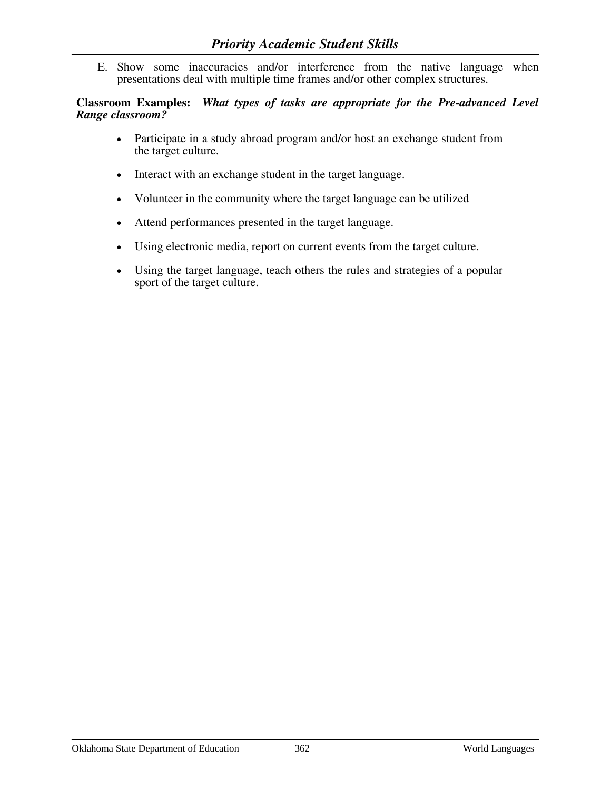E. Show some inaccuracies and/or interference from the native language when presentations deal with multiple time frames and/or other complex structures.

**Classroom Examples:** *What types of tasks are appropriate for the Pre-advanced Level Range classroom?*

- Participate in a study abroad program and/or host an exchange student from the target culture.
- Interact with an exchange student in the target language.
- Volunteer in the community where the target language can be utilized
- Attend performances presented in the target language.
- Using electronic media, report on current events from the target culture.
- Using the target language, teach others the rules and strategies of a popular sport of the target culture.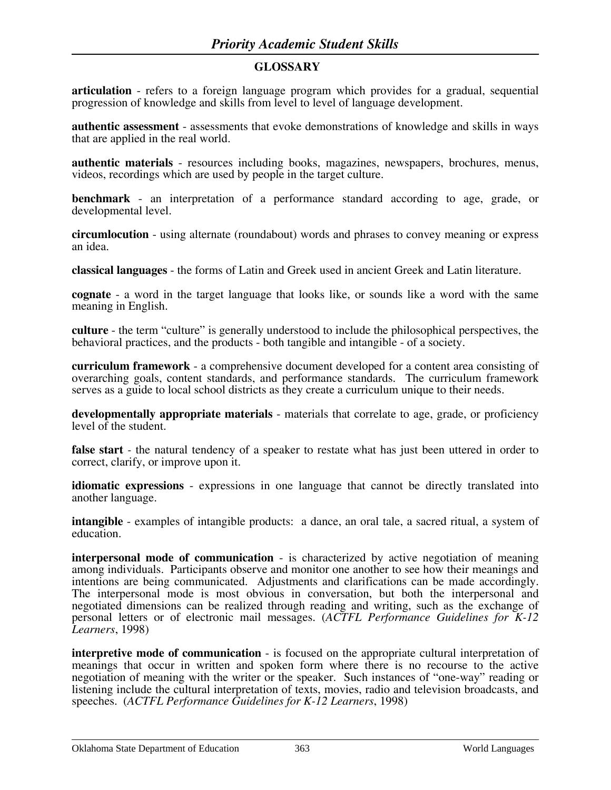# **GLOSSARY**

**articulation** - refers to a foreign language program which provides for a gradual, sequential progression of knowledge and skills from level to level of language development.

**authentic assessment** - assessments that evoke demonstrations of knowledge and skills in ways that are applied in the real world.

**authentic materials** - resources including books, magazines, newspapers, brochures, menus, videos, recordings which are used by people in the target culture.

**benchmark** - an interpretation of a performance standard according to age, grade, or developmental level.

**circumlocution** - using alternate (roundabout) words and phrases to convey meaning or express an idea.

**classical languages** - the forms of Latin and Greek used in ancient Greek and Latin literature.

**cognate** - a word in the target language that looks like, or sounds like a word with the same meaning in English.

**culture** - the term "culture" is generally understood to include the philosophical perspectives, the behavioral practices, and the products - both tangible and intangible - of a society.

**curriculum framework** - a comprehensive document developed for a content area consisting of overarching goals, content standards, and performance standards. The curriculum framework serves as a guide to local school districts as they create a curriculum unique to their needs.

**developmentally appropriate materials** - materials that correlate to age, grade, or proficiency level of the student.

**false start** - the natural tendency of a speaker to restate what has just been uttered in order to correct, clarify, or improve upon it.

**idiomatic expressions** - expressions in one language that cannot be directly translated into another language.

**intangible** - examples of intangible products: a dance, an oral tale, a sacred ritual, a system of education.

**interpersonal mode of communication** - is characterized by active negotiation of meaning among individuals. Participants observe and monitor one another to see how their meanings and intentions are being communicated. Adjustments and clarifications can be made accordingly. The interpersonal mode is most obvious in conversation, but both the interpersonal and negotiated dimensions can be realized through reading and writing, such as the exchange of personal letters or of electronic mail messages. (*ACTFL Performance Guidelines for K-12 Learners*, 1998)

**interpretive mode of communication** - is focused on the appropriate cultural interpretation of meanings that occur in written and spoken form where there is no recourse to the active negotiation of meaning with the writer or the speaker. Such instances of "one-way" reading or listening include the cultural interpretation of texts, movies, radio and television broadcasts, and speeches. (*ACTFL Performance Guidelines for K-12 Learners*, 1998)